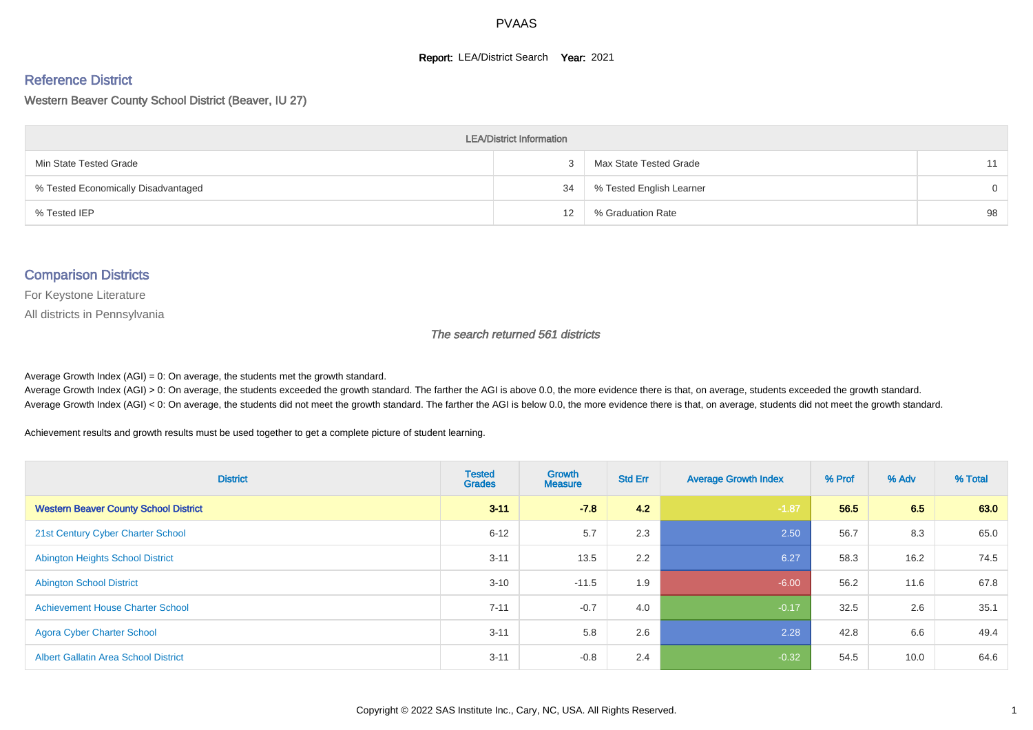#### **Report: LEA/District Search Year: 2021**

#### Reference District

Western Beaver County School District (Beaver, IU 27)

| <b>LEA/District Information</b>     |    |                          |          |  |  |  |  |  |  |  |
|-------------------------------------|----|--------------------------|----------|--|--|--|--|--|--|--|
| Min State Tested Grade              |    | Max State Tested Grade   | 11       |  |  |  |  |  |  |  |
| % Tested Economically Disadvantaged | 34 | % Tested English Learner | $\Omega$ |  |  |  |  |  |  |  |
| % Tested IEP                        | 12 | % Graduation Rate        | 98       |  |  |  |  |  |  |  |

#### Comparison Districts

For Keystone Literature

All districts in Pennsylvania

The search returned 561 districts

Average Growth Index  $(AGI) = 0$ : On average, the students met the growth standard.

Average Growth Index (AGI) > 0: On average, the students exceeded the growth standard. The farther the AGI is above 0.0, the more evidence there is that, on average, students exceeded the growth standard. Average Growth Index (AGI) < 0: On average, the students did not meet the growth standard. The farther the AGI is below 0.0, the more evidence there is that, on average, students did not meet the growth standard.

Achievement results and growth results must be used together to get a complete picture of student learning.

| <b>District</b>                              | <b>Tested</b><br><b>Grades</b> | <b>Growth</b><br><b>Measure</b> | <b>Std Err</b> | <b>Average Growth Index</b> | % Prof | % Adv | % Total |
|----------------------------------------------|--------------------------------|---------------------------------|----------------|-----------------------------|--------|-------|---------|
| <b>Western Beaver County School District</b> | $3 - 11$                       | $-7.8$                          | 4.2            | $-1.87$                     | 56.5   | 6.5   | 63.0    |
| 21st Century Cyber Charter School            | $6 - 12$                       | 5.7                             | 2.3            | 2.50                        | 56.7   | 8.3   | 65.0    |
| <b>Abington Heights School District</b>      | $3 - 11$                       | 13.5                            | 2.2            | 6.27                        | 58.3   | 16.2  | 74.5    |
| <b>Abington School District</b>              | $3 - 10$                       | $-11.5$                         | 1.9            | $-6.00$                     | 56.2   | 11.6  | 67.8    |
| <b>Achievement House Charter School</b>      | $7 - 11$                       | $-0.7$                          | 4.0            | $-0.17$                     | 32.5   | 2.6   | 35.1    |
| <b>Agora Cyber Charter School</b>            | $3 - 11$                       | 5.8                             | 2.6            | 2.28                        | 42.8   | 6.6   | 49.4    |
| <b>Albert Gallatin Area School District</b>  | $3 - 11$                       | $-0.8$                          | 2.4            | $-0.32$                     | 54.5   | 10.0  | 64.6    |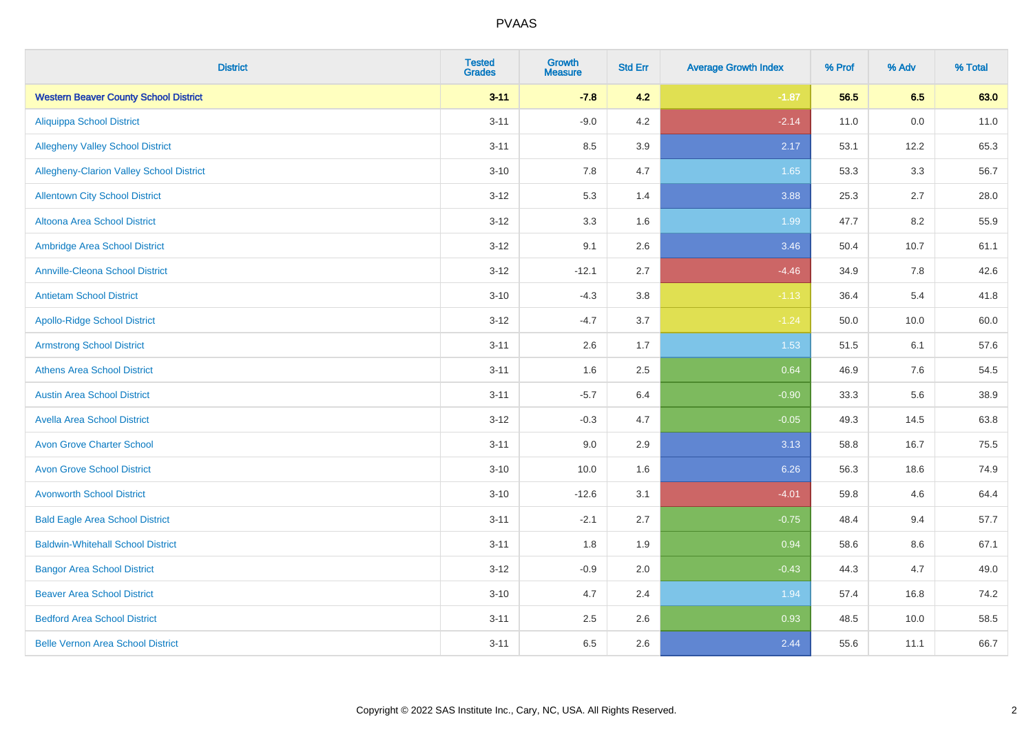| <b>District</b>                              | <b>Tested</b><br><b>Grades</b> | <b>Growth</b><br><b>Measure</b> | <b>Std Err</b> | <b>Average Growth Index</b> | % Prof | % Adv | % Total |
|----------------------------------------------|--------------------------------|---------------------------------|----------------|-----------------------------|--------|-------|---------|
| <b>Western Beaver County School District</b> | $3 - 11$                       | $-7.8$                          | 4.2            | $-1.87$                     | 56.5   | 6.5   | 63.0    |
| <b>Aliquippa School District</b>             | $3 - 11$                       | $-9.0$                          | $4.2\,$        | $-2.14$                     | 11.0   | 0.0   | 11.0    |
| <b>Allegheny Valley School District</b>      | $3 - 11$                       | 8.5                             | 3.9            | 2.17                        | 53.1   | 12.2  | 65.3    |
| Allegheny-Clarion Valley School District     | $3 - 10$                       | 7.8                             | 4.7            | 1.65                        | 53.3   | 3.3   | 56.7    |
| <b>Allentown City School District</b>        | $3 - 12$                       | 5.3                             | 1.4            | 3.88                        | 25.3   | 2.7   | 28.0    |
| Altoona Area School District                 | $3 - 12$                       | 3.3                             | 1.6            | 1.99                        | 47.7   | 8.2   | 55.9    |
| Ambridge Area School District                | $3 - 12$                       | 9.1                             | 2.6            | 3.46                        | 50.4   | 10.7  | 61.1    |
| <b>Annville-Cleona School District</b>       | $3 - 12$                       | $-12.1$                         | 2.7            | $-4.46$                     | 34.9   | 7.8   | 42.6    |
| <b>Antietam School District</b>              | $3 - 10$                       | $-4.3$                          | 3.8            | $-1.13$                     | 36.4   | 5.4   | 41.8    |
| <b>Apollo-Ridge School District</b>          | $3 - 12$                       | $-4.7$                          | 3.7            | $-1.24$                     | 50.0   | 10.0  | 60.0    |
| <b>Armstrong School District</b>             | $3 - 11$                       | 2.6                             | 1.7            | 1.53                        | 51.5   | 6.1   | 57.6    |
| <b>Athens Area School District</b>           | $3 - 11$                       | 1.6                             | 2.5            | 0.64                        | 46.9   | 7.6   | 54.5    |
| <b>Austin Area School District</b>           | $3 - 11$                       | $-5.7$                          | 6.4            | $-0.90$                     | 33.3   | 5.6   | 38.9    |
| <b>Avella Area School District</b>           | $3 - 12$                       | $-0.3$                          | 4.7            | $-0.05$                     | 49.3   | 14.5  | 63.8    |
| <b>Avon Grove Charter School</b>             | $3 - 11$                       | 9.0                             | 2.9            | 3.13                        | 58.8   | 16.7  | 75.5    |
| <b>Avon Grove School District</b>            | $3 - 10$                       | 10.0                            | 1.6            | 6.26                        | 56.3   | 18.6  | 74.9    |
| <b>Avonworth School District</b>             | $3 - 10$                       | $-12.6$                         | 3.1            | $-4.01$                     | 59.8   | 4.6   | 64.4    |
| <b>Bald Eagle Area School District</b>       | $3 - 11$                       | $-2.1$                          | 2.7            | $-0.75$                     | 48.4   | 9.4   | 57.7    |
| <b>Baldwin-Whitehall School District</b>     | $3 - 11$                       | 1.8                             | 1.9            | 0.94                        | 58.6   | 8.6   | 67.1    |
| <b>Bangor Area School District</b>           | $3-12$                         | $-0.9$                          | 2.0            | $-0.43$                     | 44.3   | 4.7   | 49.0    |
| <b>Beaver Area School District</b>           | $3 - 10$                       | 4.7                             | 2.4            | 1.94                        | 57.4   | 16.8  | 74.2    |
| <b>Bedford Area School District</b>          | $3 - 11$                       | 2.5                             | 2.6            | 0.93                        | 48.5   | 10.0  | 58.5    |
| <b>Belle Vernon Area School District</b>     | $3 - 11$                       | 6.5                             | 2.6            | 2.44                        | 55.6   | 11.1  | 66.7    |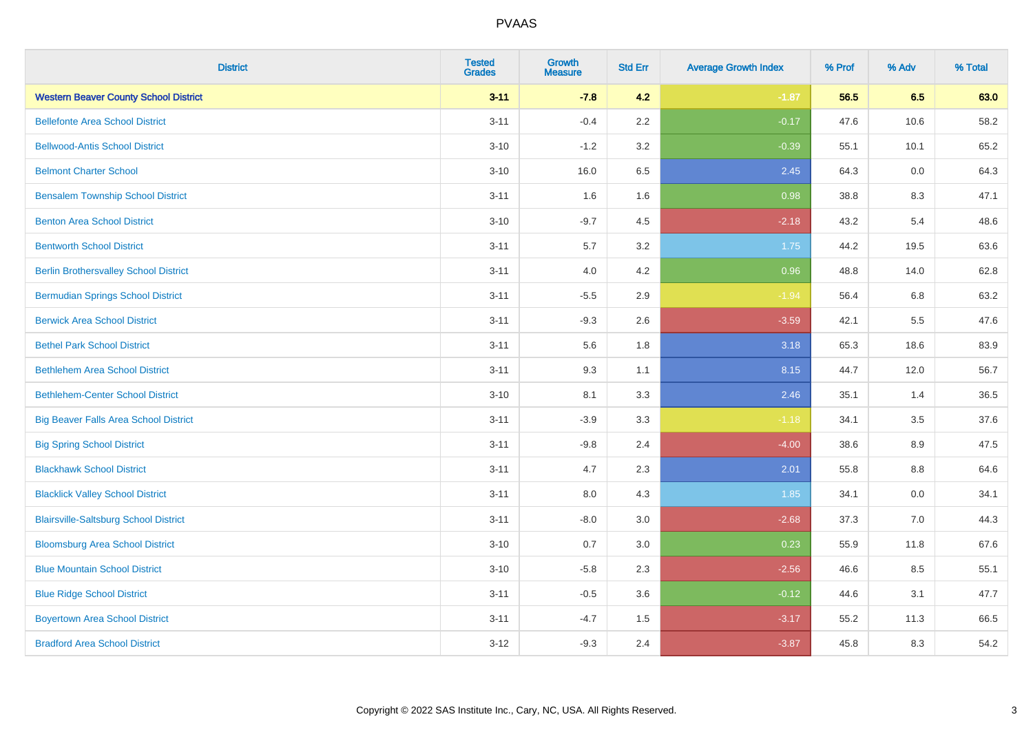| <b>District</b>                              | <b>Tested</b><br><b>Grades</b> | <b>Growth</b><br><b>Measure</b> | <b>Std Err</b> | <b>Average Growth Index</b> | % Prof | % Adv | % Total |
|----------------------------------------------|--------------------------------|---------------------------------|----------------|-----------------------------|--------|-------|---------|
| <b>Western Beaver County School District</b> | $3 - 11$                       | $-7.8$                          | 4.2            | $-1.87$                     | 56.5   | 6.5   | 63.0    |
| <b>Bellefonte Area School District</b>       | $3 - 11$                       | $-0.4$                          | 2.2            | $-0.17$                     | 47.6   | 10.6  | 58.2    |
| <b>Bellwood-Antis School District</b>        | $3 - 10$                       | $-1.2$                          | 3.2            | $-0.39$                     | 55.1   | 10.1  | 65.2    |
| <b>Belmont Charter School</b>                | $3 - 10$                       | 16.0                            | 6.5            | 2.45                        | 64.3   | 0.0   | 64.3    |
| <b>Bensalem Township School District</b>     | $3 - 11$                       | 1.6                             | 1.6            | 0.98                        | 38.8   | 8.3   | 47.1    |
| <b>Benton Area School District</b>           | $3 - 10$                       | $-9.7$                          | 4.5            | $-2.18$                     | 43.2   | 5.4   | 48.6    |
| <b>Bentworth School District</b>             | $3 - 11$                       | 5.7                             | 3.2            | 1.75                        | 44.2   | 19.5  | 63.6    |
| <b>Berlin Brothersvalley School District</b> | $3 - 11$                       | 4.0                             | 4.2            | 0.96                        | 48.8   | 14.0  | 62.8    |
| <b>Bermudian Springs School District</b>     | $3 - 11$                       | $-5.5$                          | 2.9            | $-1.94$                     | 56.4   | 6.8   | 63.2    |
| <b>Berwick Area School District</b>          | $3 - 11$                       | $-9.3$                          | 2.6            | $-3.59$                     | 42.1   | 5.5   | 47.6    |
| <b>Bethel Park School District</b>           | $3 - 11$                       | 5.6                             | 1.8            | 3.18                        | 65.3   | 18.6  | 83.9    |
| <b>Bethlehem Area School District</b>        | $3 - 11$                       | 9.3                             | 1.1            | 8.15                        | 44.7   | 12.0  | 56.7    |
| <b>Bethlehem-Center School District</b>      | $3 - 10$                       | 8.1                             | 3.3            | 2.46                        | 35.1   | 1.4   | 36.5    |
| <b>Big Beaver Falls Area School District</b> | $3 - 11$                       | $-3.9$                          | 3.3            | $-1.18$                     | 34.1   | 3.5   | 37.6    |
| <b>Big Spring School District</b>            | $3 - 11$                       | $-9.8$                          | 2.4            | $-4.00$                     | 38.6   | 8.9   | 47.5    |
| <b>Blackhawk School District</b>             | $3 - 11$                       | 4.7                             | 2.3            | 2.01                        | 55.8   | 8.8   | 64.6    |
| <b>Blacklick Valley School District</b>      | $3 - 11$                       | 8.0                             | 4.3            | 1.85                        | 34.1   | 0.0   | 34.1    |
| <b>Blairsville-Saltsburg School District</b> | $3 - 11$                       | $-8.0$                          | 3.0            | $-2.68$                     | 37.3   | 7.0   | 44.3    |
| <b>Bloomsburg Area School District</b>       | $3 - 10$                       | 0.7                             | 3.0            | 0.23                        | 55.9   | 11.8  | 67.6    |
| <b>Blue Mountain School District</b>         | $3 - 10$                       | $-5.8$                          | 2.3            | $-2.56$                     | 46.6   | 8.5   | 55.1    |
| <b>Blue Ridge School District</b>            | $3 - 11$                       | $-0.5$                          | 3.6            | $-0.12$                     | 44.6   | 3.1   | 47.7    |
| <b>Boyertown Area School District</b>        | $3 - 11$                       | $-4.7$                          | 1.5            | $-3.17$                     | 55.2   | 11.3  | 66.5    |
| <b>Bradford Area School District</b>         | $3 - 12$                       | $-9.3$                          | 2.4            | $-3.87$                     | 45.8   | 8.3   | 54.2    |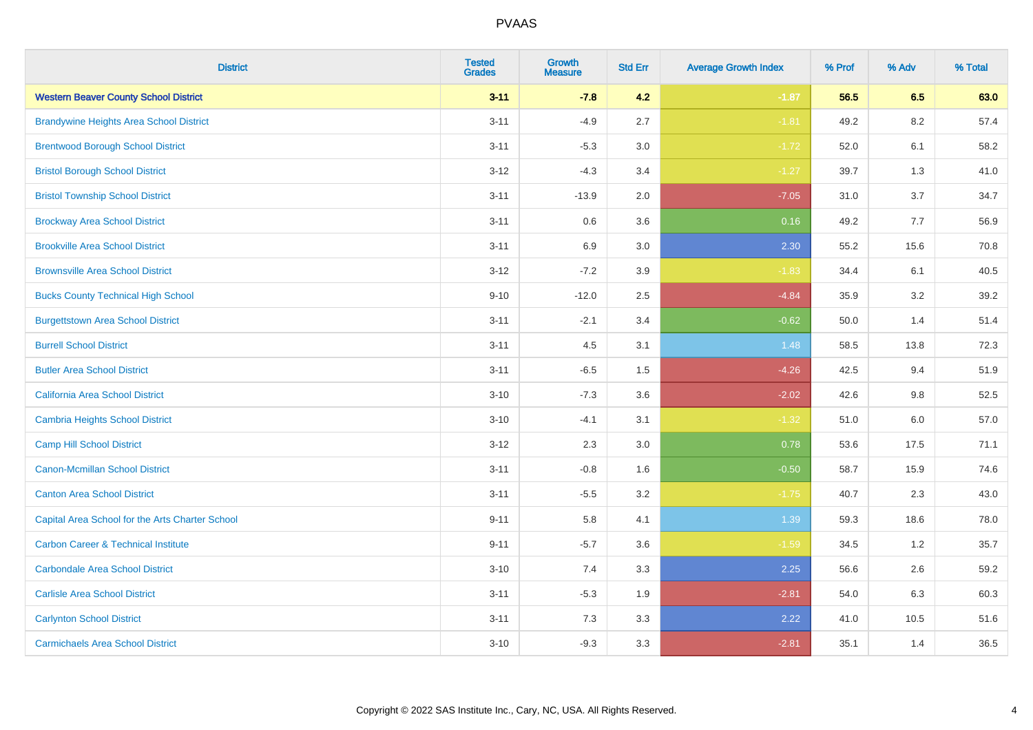| <b>District</b>                                 | <b>Tested</b><br><b>Grades</b> | <b>Growth</b><br><b>Measure</b> | <b>Std Err</b> | <b>Average Growth Index</b> | % Prof | % Adv   | % Total |
|-------------------------------------------------|--------------------------------|---------------------------------|----------------|-----------------------------|--------|---------|---------|
| <b>Western Beaver County School District</b>    | $3 - 11$                       | $-7.8$                          | 4.2            | $-1.87$                     | 56.5   | 6.5     | 63.0    |
| <b>Brandywine Heights Area School District</b>  | $3 - 11$                       | $-4.9$                          | 2.7            | $-1.81$                     | 49.2   | $8.2\,$ | 57.4    |
| <b>Brentwood Borough School District</b>        | $3 - 11$                       | $-5.3$                          | 3.0            | $-1.72$                     | 52.0   | 6.1     | 58.2    |
| <b>Bristol Borough School District</b>          | $3 - 12$                       | $-4.3$                          | 3.4            | $-1.27$                     | 39.7   | 1.3     | 41.0    |
| <b>Bristol Township School District</b>         | $3 - 11$                       | $-13.9$                         | 2.0            | $-7.05$                     | 31.0   | 3.7     | 34.7    |
| <b>Brockway Area School District</b>            | $3 - 11$                       | 0.6                             | 3.6            | 0.16                        | 49.2   | 7.7     | 56.9    |
| <b>Brookville Area School District</b>          | $3 - 11$                       | 6.9                             | 3.0            | 2.30                        | 55.2   | 15.6    | 70.8    |
| <b>Brownsville Area School District</b>         | $3 - 12$                       | $-7.2$                          | 3.9            | $-1.83$                     | 34.4   | 6.1     | 40.5    |
| <b>Bucks County Technical High School</b>       | $9 - 10$                       | $-12.0$                         | 2.5            | $-4.84$                     | 35.9   | 3.2     | 39.2    |
| <b>Burgettstown Area School District</b>        | $3 - 11$                       | $-2.1$                          | 3.4            | $-0.62$                     | 50.0   | 1.4     | 51.4    |
| <b>Burrell School District</b>                  | $3 - 11$                       | 4.5                             | 3.1            | 1.48                        | 58.5   | 13.8    | 72.3    |
| <b>Butler Area School District</b>              | $3 - 11$                       | $-6.5$                          | 1.5            | $-4.26$                     | 42.5   | 9.4     | 51.9    |
| California Area School District                 | $3 - 10$                       | $-7.3$                          | 3.6            | $-2.02$                     | 42.6   | $9.8\,$ | 52.5    |
| <b>Cambria Heights School District</b>          | $3 - 10$                       | $-4.1$                          | 3.1            | $-1.32$                     | 51.0   | 6.0     | 57.0    |
| <b>Camp Hill School District</b>                | $3 - 12$                       | 2.3                             | 3.0            | 0.78                        | 53.6   | 17.5    | 71.1    |
| <b>Canon-Mcmillan School District</b>           | $3 - 11$                       | $-0.8$                          | 1.6            | $-0.50$                     | 58.7   | 15.9    | 74.6    |
| <b>Canton Area School District</b>              | $3 - 11$                       | $-5.5$                          | 3.2            | $-1.75$                     | 40.7   | 2.3     | 43.0    |
| Capital Area School for the Arts Charter School | $9 - 11$                       | 5.8                             | 4.1            | 1.39                        | 59.3   | 18.6    | 78.0    |
| <b>Carbon Career &amp; Technical Institute</b>  | $9 - 11$                       | $-5.7$                          | 3.6            | $-1.59$                     | 34.5   | 1.2     | 35.7    |
| <b>Carbondale Area School District</b>          | $3 - 10$                       | 7.4                             | 3.3            | 2.25                        | 56.6   | 2.6     | 59.2    |
| <b>Carlisle Area School District</b>            | $3 - 11$                       | $-5.3$                          | 1.9            | $-2.81$                     | 54.0   | 6.3     | 60.3    |
| <b>Carlynton School District</b>                | $3 - 11$                       | 7.3                             | 3.3            | 2.22                        | 41.0   | 10.5    | 51.6    |
| <b>Carmichaels Area School District</b>         | $3 - 10$                       | $-9.3$                          | 3.3            | $-2.81$                     | 35.1   | 1.4     | 36.5    |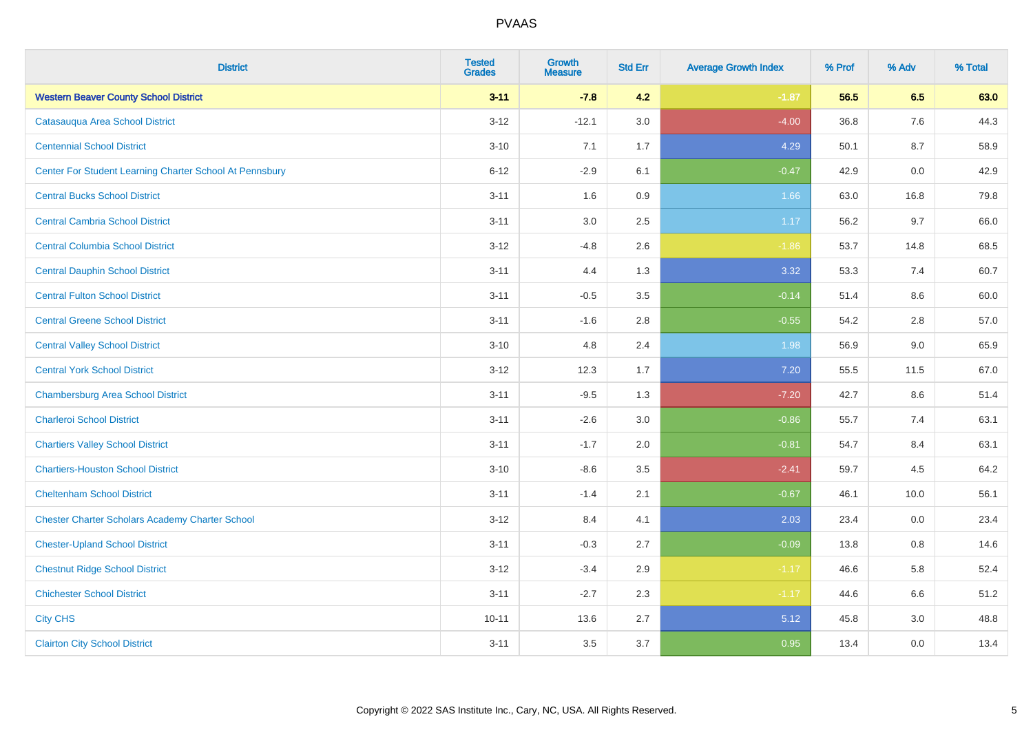| <b>District</b>                                         | <b>Tested</b><br><b>Grades</b> | <b>Growth</b><br><b>Measure</b> | <b>Std Err</b> | <b>Average Growth Index</b> | % Prof | % Adv | % Total |
|---------------------------------------------------------|--------------------------------|---------------------------------|----------------|-----------------------------|--------|-------|---------|
| <b>Western Beaver County School District</b>            | $3 - 11$                       | $-7.8$                          | 4.2            | $-1.87$                     | 56.5   | 6.5   | 63.0    |
| Catasauqua Area School District                         | $3 - 12$                       | $-12.1$                         | $3.0\,$        | $-4.00$                     | 36.8   | 7.6   | 44.3    |
| <b>Centennial School District</b>                       | $3 - 10$                       | 7.1                             | 1.7            | 4.29                        | 50.1   | 8.7   | 58.9    |
| Center For Student Learning Charter School At Pennsbury | $6 - 12$                       | $-2.9$                          | 6.1            | $-0.47$                     | 42.9   | 0.0   | 42.9    |
| <b>Central Bucks School District</b>                    | $3 - 11$                       | 1.6                             | 0.9            | 1.66                        | 63.0   | 16.8  | 79.8    |
| <b>Central Cambria School District</b>                  | $3 - 11$                       | 3.0                             | 2.5            | 1.17                        | 56.2   | 9.7   | 66.0    |
| <b>Central Columbia School District</b>                 | $3 - 12$                       | $-4.8$                          | 2.6            | $-1.86$                     | 53.7   | 14.8  | 68.5    |
| <b>Central Dauphin School District</b>                  | $3 - 11$                       | 4.4                             | 1.3            | 3.32                        | 53.3   | 7.4   | 60.7    |
| <b>Central Fulton School District</b>                   | $3 - 11$                       | $-0.5$                          | $3.5\,$        | $-0.14$                     | 51.4   | 8.6   | 60.0    |
| <b>Central Greene School District</b>                   | $3 - 11$                       | $-1.6$                          | 2.8            | $-0.55$                     | 54.2   | 2.8   | 57.0    |
| <b>Central Valley School District</b>                   | $3 - 10$                       | 4.8                             | 2.4            | 1.98                        | 56.9   | 9.0   | 65.9    |
| <b>Central York School District</b>                     | $3-12$                         | 12.3                            | 1.7            | $7.20$                      | 55.5   | 11.5  | 67.0    |
| <b>Chambersburg Area School District</b>                | $3 - 11$                       | $-9.5$                          | 1.3            | $-7.20$                     | 42.7   | 8.6   | 51.4    |
| <b>Charleroi School District</b>                        | $3 - 11$                       | $-2.6$                          | 3.0            | $-0.86$                     | 55.7   | 7.4   | 63.1    |
| <b>Chartiers Valley School District</b>                 | $3 - 11$                       | $-1.7$                          | 2.0            | $-0.81$                     | 54.7   | 8.4   | 63.1    |
| <b>Chartiers-Houston School District</b>                | $3 - 10$                       | $-8.6$                          | 3.5            | $-2.41$                     | 59.7   | 4.5   | 64.2    |
| <b>Cheltenham School District</b>                       | $3 - 11$                       | $-1.4$                          | 2.1            | $-0.67$                     | 46.1   | 10.0  | 56.1    |
| <b>Chester Charter Scholars Academy Charter School</b>  | $3 - 12$                       | 8.4                             | 4.1            | 2.03                        | 23.4   | 0.0   | 23.4    |
| <b>Chester-Upland School District</b>                   | $3 - 11$                       | $-0.3$                          | 2.7            | $-0.09$                     | 13.8   | 0.8   | 14.6    |
| <b>Chestnut Ridge School District</b>                   | $3 - 12$                       | $-3.4$                          | 2.9            | $-1.17$                     | 46.6   | 5.8   | 52.4    |
| <b>Chichester School District</b>                       | $3 - 11$                       | $-2.7$                          | 2.3            | $-1.17$                     | 44.6   | 6.6   | 51.2    |
| <b>City CHS</b>                                         | $10 - 11$                      | 13.6                            | 2.7            | 5.12                        | 45.8   | 3.0   | 48.8    |
| <b>Clairton City School District</b>                    | $3 - 11$                       | 3.5                             | 3.7            | 0.95                        | 13.4   | 0.0   | 13.4    |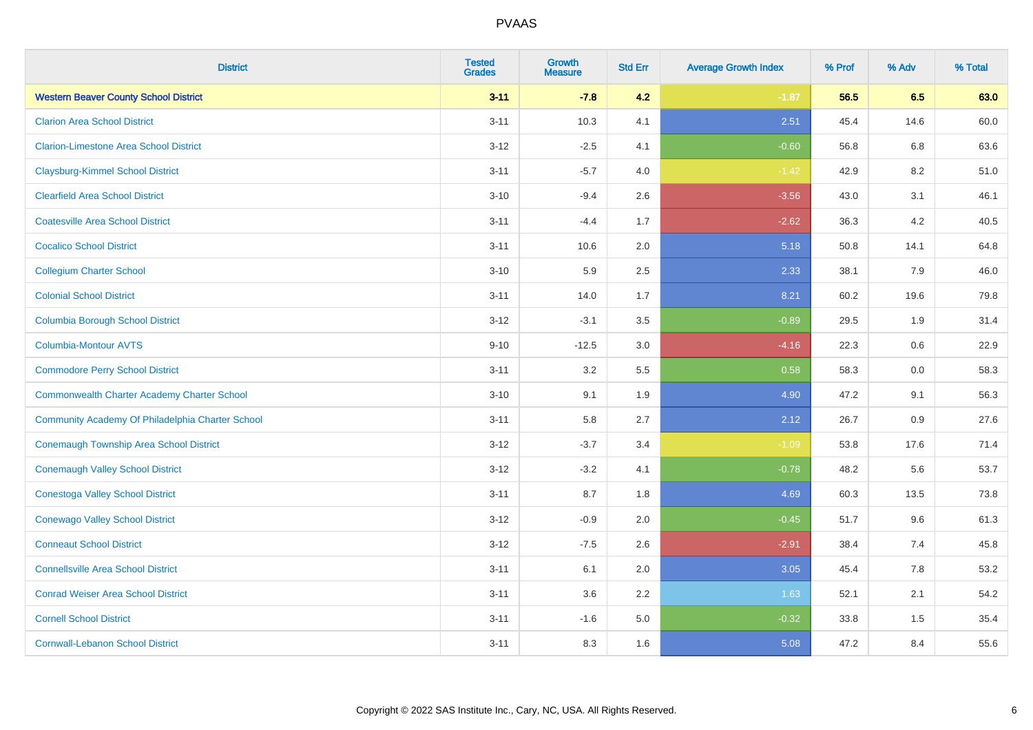| <b>District</b>                                    | <b>Tested</b><br><b>Grades</b> | <b>Growth</b><br><b>Measure</b> | <b>Std Err</b> | <b>Average Growth Index</b> | % Prof | % Adv | % Total |
|----------------------------------------------------|--------------------------------|---------------------------------|----------------|-----------------------------|--------|-------|---------|
| <b>Western Beaver County School District</b>       | $3 - 11$                       | $-7.8$                          | 4.2            | $-1.87$                     | 56.5   | 6.5   | 63.0    |
| <b>Clarion Area School District</b>                | $3 - 11$                       | 10.3                            | 4.1            | 2.51                        | 45.4   | 14.6  | 60.0    |
| <b>Clarion-Limestone Area School District</b>      | $3 - 12$                       | $-2.5$                          | 4.1            | $-0.60$                     | 56.8   | 6.8   | 63.6    |
| <b>Claysburg-Kimmel School District</b>            | $3 - 11$                       | $-5.7$                          | 4.0            | $-1.42$                     | 42.9   | 8.2   | 51.0    |
| <b>Clearfield Area School District</b>             | $3 - 10$                       | $-9.4$                          | 2.6            | $-3.56$                     | 43.0   | 3.1   | 46.1    |
| <b>Coatesville Area School District</b>            | $3 - 11$                       | $-4.4$                          | 1.7            | $-2.62$                     | 36.3   | 4.2   | 40.5    |
| <b>Cocalico School District</b>                    | $3 - 11$                       | 10.6                            | 2.0            | 5.18                        | 50.8   | 14.1  | 64.8    |
| <b>Collegium Charter School</b>                    | $3 - 10$                       | 5.9                             | 2.5            | 2.33                        | 38.1   | 7.9   | 46.0    |
| <b>Colonial School District</b>                    | $3 - 11$                       | 14.0                            | 1.7            | 8.21                        | 60.2   | 19.6  | 79.8    |
| <b>Columbia Borough School District</b>            | $3 - 12$                       | $-3.1$                          | 3.5            | $-0.89$                     | 29.5   | 1.9   | 31.4    |
| <b>Columbia-Montour AVTS</b>                       | $9 - 10$                       | $-12.5$                         | 3.0            | $-4.16$                     | 22.3   | 0.6   | 22.9    |
| <b>Commodore Perry School District</b>             | $3 - 11$                       | 3.2                             | 5.5            | 0.58                        | 58.3   | 0.0   | 58.3    |
| <b>Commonwealth Charter Academy Charter School</b> | $3 - 10$                       | 9.1                             | 1.9            | 4.90                        | 47.2   | 9.1   | 56.3    |
| Community Academy Of Philadelphia Charter School   | $3 - 11$                       | 5.8                             | 2.7            | 2.12                        | 26.7   | 0.9   | 27.6    |
| Conemaugh Township Area School District            | $3 - 12$                       | $-3.7$                          | 3.4            | $-1.09$                     | 53.8   | 17.6  | 71.4    |
| <b>Conemaugh Valley School District</b>            | $3 - 12$                       | $-3.2$                          | 4.1            | $-0.78$                     | 48.2   | 5.6   | 53.7    |
| <b>Conestoga Valley School District</b>            | $3 - 11$                       | 8.7                             | 1.8            | 4.69                        | 60.3   | 13.5  | 73.8    |
| <b>Conewago Valley School District</b>             | $3 - 12$                       | $-0.9$                          | 2.0            | $-0.45$                     | 51.7   | 9.6   | 61.3    |
| <b>Conneaut School District</b>                    | $3 - 12$                       | $-7.5$                          | 2.6            | $-2.91$                     | 38.4   | 7.4   | 45.8    |
| <b>Connellsville Area School District</b>          | $3 - 11$                       | 6.1                             | 2.0            | 3.05                        | 45.4   | 7.8   | 53.2    |
| <b>Conrad Weiser Area School District</b>          | $3 - 11$                       | 3.6                             | 2.2            | 1.63                        | 52.1   | 2.1   | 54.2    |
| <b>Cornell School District</b>                     | $3 - 11$                       | $-1.6$                          | 5.0            | $-0.32$                     | 33.8   | 1.5   | 35.4    |
| <b>Cornwall-Lebanon School District</b>            | $3 - 11$                       | 8.3                             | 1.6            | 5.08                        | 47.2   | 8.4   | 55.6    |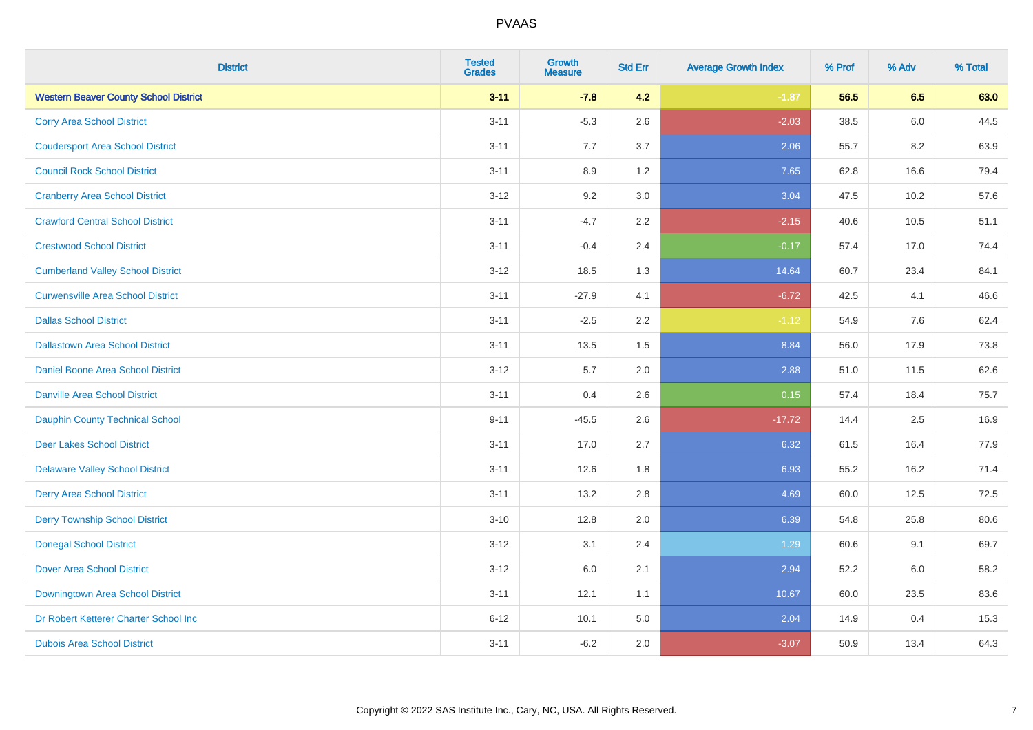| <b>District</b>                              | <b>Tested</b><br><b>Grades</b> | <b>Growth</b><br><b>Measure</b> | <b>Std Err</b> | <b>Average Growth Index</b> | % Prof | % Adv | % Total |
|----------------------------------------------|--------------------------------|---------------------------------|----------------|-----------------------------|--------|-------|---------|
| <b>Western Beaver County School District</b> | $3 - 11$                       | $-7.8$                          | 4.2            | $-1.87$                     | 56.5   | 6.5   | 63.0    |
| <b>Corry Area School District</b>            | $3 - 11$                       | $-5.3$                          | 2.6            | $-2.03$                     | 38.5   | 6.0   | 44.5    |
| <b>Coudersport Area School District</b>      | $3 - 11$                       | 7.7                             | 3.7            | 2.06                        | 55.7   | 8.2   | 63.9    |
| <b>Council Rock School District</b>          | $3 - 11$                       | 8.9                             | 1.2            | 7.65                        | 62.8   | 16.6  | 79.4    |
| <b>Cranberry Area School District</b>        | $3 - 12$                       | 9.2                             | 3.0            | 3.04                        | 47.5   | 10.2  | 57.6    |
| <b>Crawford Central School District</b>      | $3 - 11$                       | $-4.7$                          | 2.2            | $-2.15$                     | 40.6   | 10.5  | 51.1    |
| <b>Crestwood School District</b>             | $3 - 11$                       | $-0.4$                          | 2.4            | $-0.17$                     | 57.4   | 17.0  | 74.4    |
| <b>Cumberland Valley School District</b>     | $3 - 12$                       | 18.5                            | 1.3            | 14.64                       | 60.7   | 23.4  | 84.1    |
| <b>Curwensville Area School District</b>     | $3 - 11$                       | $-27.9$                         | 4.1            | $-6.72$                     | 42.5   | 4.1   | 46.6    |
| <b>Dallas School District</b>                | $3 - 11$                       | $-2.5$                          | 2.2            | $-1.12$                     | 54.9   | 7.6   | 62.4    |
| <b>Dallastown Area School District</b>       | $3 - 11$                       | 13.5                            | 1.5            | 8.84                        | 56.0   | 17.9  | 73.8    |
| <b>Daniel Boone Area School District</b>     | $3 - 12$                       | 5.7                             | 2.0            | 2.88                        | 51.0   | 11.5  | 62.6    |
| Danville Area School District                | $3 - 11$                       | 0.4                             | 2.6            | 0.15                        | 57.4   | 18.4  | 75.7    |
| <b>Dauphin County Technical School</b>       | $9 - 11$                       | $-45.5$                         | 2.6            | $-17.72$                    | 14.4   | 2.5   | 16.9    |
| <b>Deer Lakes School District</b>            | $3 - 11$                       | 17.0                            | 2.7            | 6.32                        | 61.5   | 16.4  | 77.9    |
| <b>Delaware Valley School District</b>       | $3 - 11$                       | 12.6                            | 1.8            | 6.93                        | 55.2   | 16.2  | 71.4    |
| <b>Derry Area School District</b>            | $3 - 11$                       | 13.2                            | 2.8            | 4.69                        | 60.0   | 12.5  | 72.5    |
| <b>Derry Township School District</b>        | $3 - 10$                       | 12.8                            | 2.0            | 6.39                        | 54.8   | 25.8  | 80.6    |
| <b>Donegal School District</b>               | $3 - 12$                       | 3.1                             | 2.4            | 1.29                        | 60.6   | 9.1   | 69.7    |
| Dover Area School District                   | $3 - 12$                       | 6.0                             | 2.1            | 2.94                        | 52.2   | 6.0   | 58.2    |
| Downingtown Area School District             | $3 - 11$                       | 12.1                            | 1.1            | 10.67                       | 60.0   | 23.5  | 83.6    |
| Dr Robert Ketterer Charter School Inc        | $6 - 12$                       | 10.1                            | 5.0            | 2.04                        | 14.9   | 0.4   | 15.3    |
| <b>Dubois Area School District</b>           | $3 - 11$                       | $-6.2$                          | 2.0            | $-3.07$                     | 50.9   | 13.4  | 64.3    |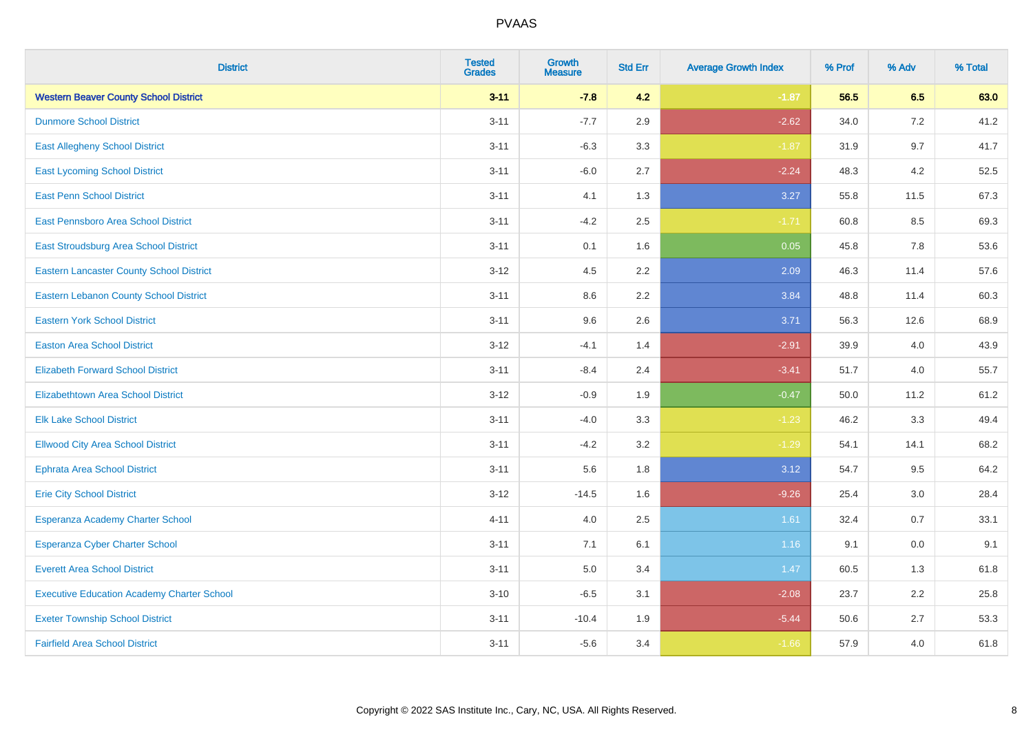| <b>District</b>                                   | <b>Tested</b><br><b>Grades</b> | <b>Growth</b><br><b>Measure</b> | <b>Std Err</b> | <b>Average Growth Index</b> | % Prof | % Adv | % Total |
|---------------------------------------------------|--------------------------------|---------------------------------|----------------|-----------------------------|--------|-------|---------|
| <b>Western Beaver County School District</b>      | $3 - 11$                       | $-7.8$                          | 4.2            | $-1.87$                     | 56.5   | 6.5   | 63.0    |
| <b>Dunmore School District</b>                    | $3 - 11$                       | $-7.7$                          | 2.9            | $-2.62$                     | 34.0   | 7.2   | 41.2    |
| <b>East Allegheny School District</b>             | $3 - 11$                       | $-6.3$                          | 3.3            | $-1.87$                     | 31.9   | 9.7   | 41.7    |
| <b>East Lycoming School District</b>              | $3 - 11$                       | $-6.0$                          | 2.7            | $-2.24$                     | 48.3   | 4.2   | 52.5    |
| <b>East Penn School District</b>                  | $3 - 11$                       | 4.1                             | 1.3            | 3.27                        | 55.8   | 11.5  | 67.3    |
| East Pennsboro Area School District               | $3 - 11$                       | $-4.2$                          | 2.5            | $-1.71$                     | 60.8   | 8.5   | 69.3    |
| <b>East Stroudsburg Area School District</b>      | $3 - 11$                       | 0.1                             | 1.6            | 0.05                        | 45.8   | 7.8   | 53.6    |
| <b>Eastern Lancaster County School District</b>   | $3 - 12$                       | 4.5                             | 2.2            | 2.09                        | 46.3   | 11.4  | 57.6    |
| <b>Eastern Lebanon County School District</b>     | $3 - 11$                       | 8.6                             | 2.2            | 3.84                        | 48.8   | 11.4  | 60.3    |
| <b>Eastern York School District</b>               | $3 - 11$                       | 9.6                             | 2.6            | 3.71                        | 56.3   | 12.6  | 68.9    |
| <b>Easton Area School District</b>                | $3 - 12$                       | $-4.1$                          | 1.4            | $-2.91$                     | 39.9   | 4.0   | 43.9    |
| <b>Elizabeth Forward School District</b>          | $3 - 11$                       | $-8.4$                          | 2.4            | $-3.41$                     | 51.7   | 4.0   | 55.7    |
| <b>Elizabethtown Area School District</b>         | $3 - 12$                       | $-0.9$                          | 1.9            | $-0.47$                     | 50.0   | 11.2  | 61.2    |
| <b>Elk Lake School District</b>                   | $3 - 11$                       | $-4.0$                          | 3.3            | $-1.23$                     | 46.2   | 3.3   | 49.4    |
| <b>Ellwood City Area School District</b>          | $3 - 11$                       | $-4.2$                          | 3.2            | $-1.29$                     | 54.1   | 14.1  | 68.2    |
| <b>Ephrata Area School District</b>               | $3 - 11$                       | 5.6                             | 1.8            | 3.12                        | 54.7   | 9.5   | 64.2    |
| <b>Erie City School District</b>                  | $3 - 12$                       | $-14.5$                         | 1.6            | $-9.26$                     | 25.4   | 3.0   | 28.4    |
| Esperanza Academy Charter School                  | $4 - 11$                       | 4.0                             | 2.5            | 1.61                        | 32.4   | 0.7   | 33.1    |
| <b>Esperanza Cyber Charter School</b>             | $3 - 11$                       | 7.1                             | 6.1            | 1.16                        | 9.1    | 0.0   | 9.1     |
| <b>Everett Area School District</b>               | $3 - 11$                       | 5.0                             | 3.4            | 1.47                        | 60.5   | 1.3   | 61.8    |
| <b>Executive Education Academy Charter School</b> | $3 - 10$                       | $-6.5$                          | 3.1            | $-2.08$                     | 23.7   | 2.2   | 25.8    |
| <b>Exeter Township School District</b>            | $3 - 11$                       | $-10.4$                         | 1.9            | $-5.44$                     | 50.6   | 2.7   | 53.3    |
| <b>Fairfield Area School District</b>             | $3 - 11$                       | $-5.6$                          | 3.4            | $-1.66$                     | 57.9   | 4.0   | 61.8    |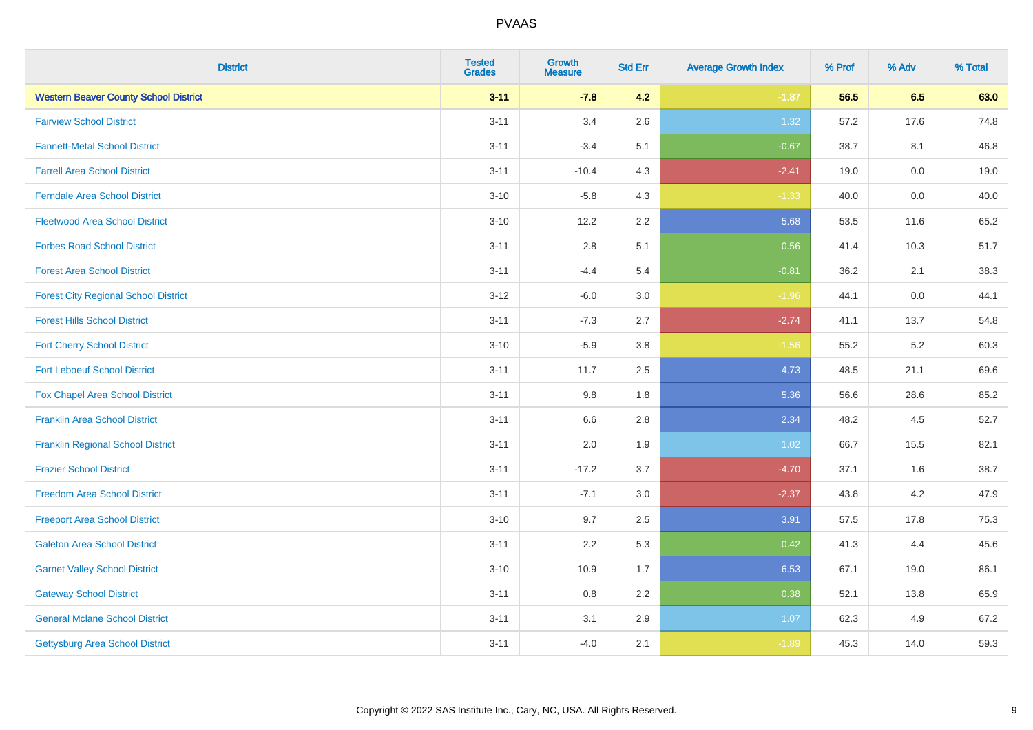| <b>District</b>                              | <b>Tested</b><br><b>Grades</b> | <b>Growth</b><br><b>Measure</b> | <b>Std Err</b> | <b>Average Growth Index</b> | % Prof | % Adv   | % Total |
|----------------------------------------------|--------------------------------|---------------------------------|----------------|-----------------------------|--------|---------|---------|
| <b>Western Beaver County School District</b> | $3 - 11$                       | $-7.8$                          | 4.2            | $-1.87$                     | 56.5   | 6.5     | 63.0    |
| <b>Fairview School District</b>              | $3 - 11$                       | 3.4                             | 2.6            | 1.32                        | 57.2   | 17.6    | 74.8    |
| <b>Fannett-Metal School District</b>         | $3 - 11$                       | $-3.4$                          | 5.1            | $-0.67$                     | 38.7   | 8.1     | 46.8    |
| <b>Farrell Area School District</b>          | $3 - 11$                       | $-10.4$                         | 4.3            | $-2.41$                     | 19.0   | $0.0\,$ | 19.0    |
| <b>Ferndale Area School District</b>         | $3 - 10$                       | $-5.8$                          | 4.3            | $-1.33$                     | 40.0   | 0.0     | 40.0    |
| <b>Fleetwood Area School District</b>        | $3 - 10$                       | 12.2                            | 2.2            | 5.68                        | 53.5   | 11.6    | 65.2    |
| <b>Forbes Road School District</b>           | $3 - 11$                       | 2.8                             | 5.1            | 0.56                        | 41.4   | 10.3    | 51.7    |
| <b>Forest Area School District</b>           | $3 - 11$                       | $-4.4$                          | 5.4            | $-0.81$                     | 36.2   | 2.1     | 38.3    |
| <b>Forest City Regional School District</b>  | $3-12$                         | $-6.0$                          | 3.0            | $-1.96$                     | 44.1   | 0.0     | 44.1    |
| <b>Forest Hills School District</b>          | $3 - 11$                       | $-7.3$                          | 2.7            | $-2.74$                     | 41.1   | 13.7    | 54.8    |
| <b>Fort Cherry School District</b>           | $3 - 10$                       | $-5.9$                          | 3.8            | $-1.56$                     | 55.2   | 5.2     | 60.3    |
| <b>Fort Leboeuf School District</b>          | $3 - 11$                       | 11.7                            | 2.5            | 4.73                        | 48.5   | 21.1    | 69.6    |
| <b>Fox Chapel Area School District</b>       | $3 - 11$                       | 9.8                             | 1.8            | 5.36                        | 56.6   | 28.6    | 85.2    |
| <b>Franklin Area School District</b>         | $3 - 11$                       | 6.6                             | 2.8            | 2.34                        | 48.2   | 4.5     | 52.7    |
| <b>Franklin Regional School District</b>     | $3 - 11$                       | 2.0                             | 1.9            | 1.02                        | 66.7   | 15.5    | 82.1    |
| <b>Frazier School District</b>               | $3 - 11$                       | $-17.2$                         | 3.7            | $-4.70$                     | 37.1   | 1.6     | 38.7    |
| <b>Freedom Area School District</b>          | $3 - 11$                       | $-7.1$                          | 3.0            | $-2.37$                     | 43.8   | 4.2     | 47.9    |
| <b>Freeport Area School District</b>         | $3 - 10$                       | 9.7                             | 2.5            | 3.91                        | 57.5   | 17.8    | 75.3    |
| <b>Galeton Area School District</b>          | $3 - 11$                       | 2.2                             | 5.3            | 0.42                        | 41.3   | 4.4     | 45.6    |
| <b>Garnet Valley School District</b>         | $3 - 10$                       | 10.9                            | 1.7            | 6.53                        | 67.1   | 19.0    | 86.1    |
| <b>Gateway School District</b>               | $3 - 11$                       | 0.8                             | 2.2            | 0.38                        | 52.1   | 13.8    | 65.9    |
| <b>General Mclane School District</b>        | $3 - 11$                       | 3.1                             | 2.9            | 1.07                        | 62.3   | 4.9     | 67.2    |
| <b>Gettysburg Area School District</b>       | $3 - 11$                       | $-4.0$                          | 2.1            | $-1.89$                     | 45.3   | 14.0    | 59.3    |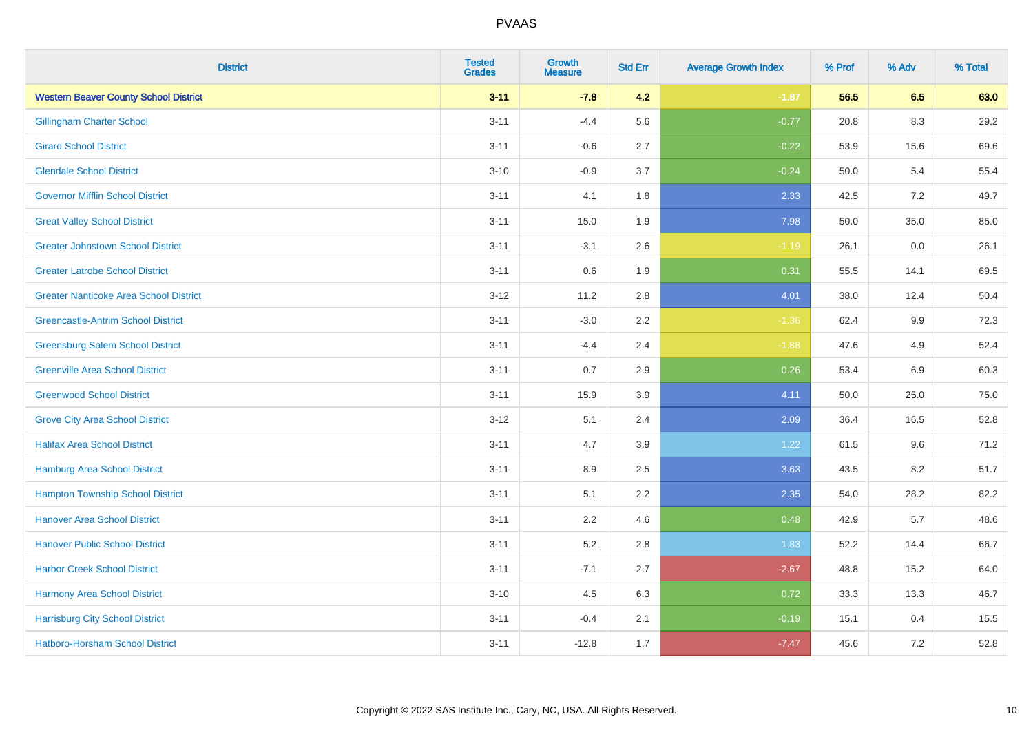| <b>District</b>                               | <b>Tested</b><br><b>Grades</b> | <b>Growth</b><br><b>Measure</b> | <b>Std Err</b> | <b>Average Growth Index</b> | % Prof | % Adv   | % Total |
|-----------------------------------------------|--------------------------------|---------------------------------|----------------|-----------------------------|--------|---------|---------|
| <b>Western Beaver County School District</b>  | $3 - 11$                       | $-7.8$                          | 4.2            | $-1.87$                     | 56.5   | 6.5     | 63.0    |
| <b>Gillingham Charter School</b>              | $3 - 11$                       | $-4.4$                          | 5.6            | $-0.77$                     | 20.8   | 8.3     | 29.2    |
| <b>Girard School District</b>                 | $3 - 11$                       | $-0.6$                          | 2.7            | $-0.22$                     | 53.9   | 15.6    | 69.6    |
| <b>Glendale School District</b>               | $3 - 10$                       | $-0.9$                          | 3.7            | $-0.24$                     | 50.0   | 5.4     | 55.4    |
| <b>Governor Mifflin School District</b>       | $3 - 11$                       | 4.1                             | 1.8            | 2.33                        | 42.5   | 7.2     | 49.7    |
| <b>Great Valley School District</b>           | $3 - 11$                       | 15.0                            | 1.9            | 7.98                        | 50.0   | 35.0    | 85.0    |
| <b>Greater Johnstown School District</b>      | $3 - 11$                       | $-3.1$                          | 2.6            | $-1.19$                     | 26.1   | 0.0     | 26.1    |
| <b>Greater Latrobe School District</b>        | $3 - 11$                       | 0.6                             | 1.9            | 0.31                        | 55.5   | 14.1    | 69.5    |
| <b>Greater Nanticoke Area School District</b> | $3 - 12$                       | 11.2                            | 2.8            | 4.01                        | 38.0   | 12.4    | 50.4    |
| <b>Greencastle-Antrim School District</b>     | $3 - 11$                       | $-3.0$                          | 2.2            | $-1.36$                     | 62.4   | 9.9     | 72.3    |
| <b>Greensburg Salem School District</b>       | $3 - 11$                       | $-4.4$                          | 2.4            | $-1.88$                     | 47.6   | 4.9     | 52.4    |
| <b>Greenville Area School District</b>        | $3 - 11$                       | 0.7                             | 2.9            | 0.26                        | 53.4   | 6.9     | 60.3    |
| <b>Greenwood School District</b>              | $3 - 11$                       | 15.9                            | 3.9            | 4.11                        | 50.0   | 25.0    | 75.0    |
| <b>Grove City Area School District</b>        | $3-12$                         | 5.1                             | 2.4            | 2.09                        | 36.4   | 16.5    | 52.8    |
| <b>Halifax Area School District</b>           | $3 - 11$                       | 4.7                             | 3.9            | 1.22                        | 61.5   | 9.6     | 71.2    |
| <b>Hamburg Area School District</b>           | $3 - 11$                       | 8.9                             | 2.5            | 3.63                        | 43.5   | 8.2     | 51.7    |
| <b>Hampton Township School District</b>       | $3 - 11$                       | 5.1                             | 2.2            | 2.35                        | 54.0   | 28.2    | 82.2    |
| <b>Hanover Area School District</b>           | $3 - 11$                       | 2.2                             | 4.6            | 0.48                        | 42.9   | 5.7     | 48.6    |
| <b>Hanover Public School District</b>         | $3 - 11$                       | 5.2                             | 2.8            | 1.83                        | 52.2   | 14.4    | 66.7    |
| <b>Harbor Creek School District</b>           | $3 - 11$                       | $-7.1$                          | 2.7            | $-2.67$                     | 48.8   | 15.2    | 64.0    |
| Harmony Area School District                  | $3 - 10$                       | 4.5                             | 6.3            | 0.72                        | 33.3   | 13.3    | 46.7    |
| <b>Harrisburg City School District</b>        | $3 - 11$                       | $-0.4$                          | 2.1            | $-0.19$                     | 15.1   | 0.4     | 15.5    |
| Hatboro-Horsham School District               | $3 - 11$                       | $-12.8$                         | 1.7            | $-7.47$                     | 45.6   | $7.2\,$ | 52.8    |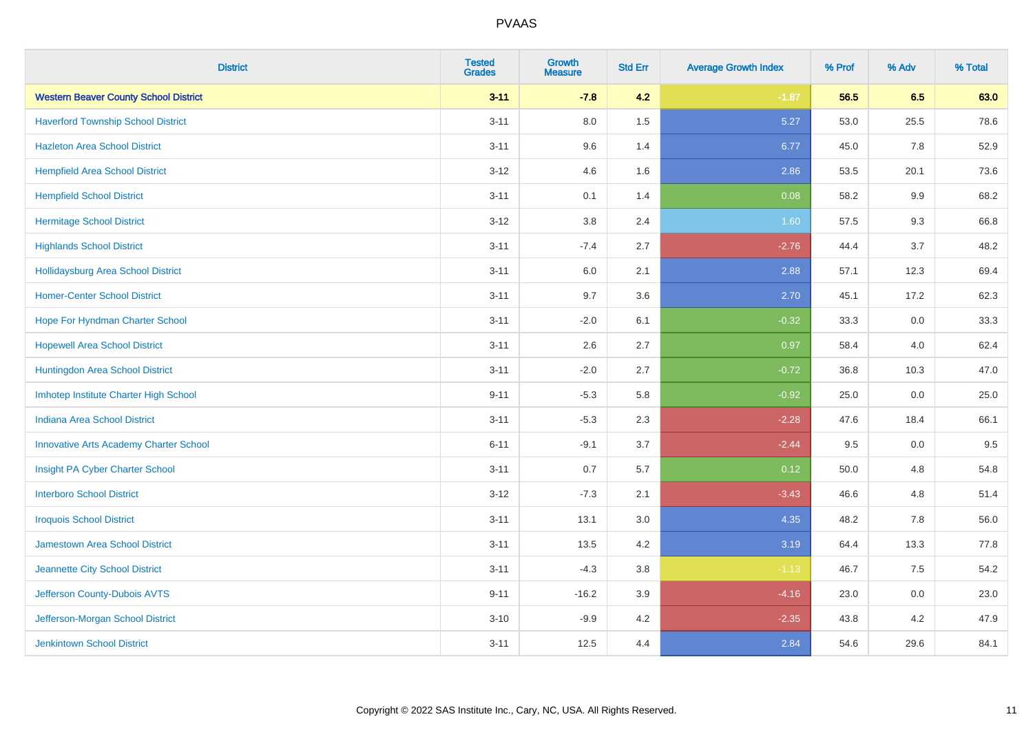| <b>District</b>                               | <b>Tested</b><br><b>Grades</b> | <b>Growth</b><br><b>Measure</b> | <b>Std Err</b> | <b>Average Growth Index</b> | % Prof | % Adv | % Total |
|-----------------------------------------------|--------------------------------|---------------------------------|----------------|-----------------------------|--------|-------|---------|
| <b>Western Beaver County School District</b>  | $3 - 11$                       | $-7.8$                          | 4.2            | $-1.87$                     | 56.5   | 6.5   | 63.0    |
| <b>Haverford Township School District</b>     | $3 - 11$                       | $8.0\,$                         | 1.5            | 5.27                        | 53.0   | 25.5  | 78.6    |
| <b>Hazleton Area School District</b>          | $3 - 11$                       | 9.6                             | 1.4            | 6.77                        | 45.0   | 7.8   | 52.9    |
| <b>Hempfield Area School District</b>         | $3 - 12$                       | 4.6                             | 1.6            | 2.86                        | 53.5   | 20.1  | 73.6    |
| <b>Hempfield School District</b>              | $3 - 11$                       | 0.1                             | 1.4            | 0.08                        | 58.2   | 9.9   | 68.2    |
| <b>Hermitage School District</b>              | $3 - 12$                       | 3.8                             | 2.4            | 1.60                        | 57.5   | 9.3   | 66.8    |
| <b>Highlands School District</b>              | $3 - 11$                       | $-7.4$                          | 2.7            | $-2.76$                     | 44.4   | 3.7   | 48.2    |
| <b>Hollidaysburg Area School District</b>     | $3 - 11$                       | 6.0                             | 2.1            | 2.88                        | 57.1   | 12.3  | 69.4    |
| <b>Homer-Center School District</b>           | $3 - 11$                       | 9.7                             | 3.6            | 2.70                        | 45.1   | 17.2  | 62.3    |
| Hope For Hyndman Charter School               | $3 - 11$                       | $-2.0$                          | 6.1            | $-0.32$                     | 33.3   | 0.0   | 33.3    |
| <b>Hopewell Area School District</b>          | $3 - 11$                       | 2.6                             | 2.7            | 0.97                        | 58.4   | 4.0   | 62.4    |
| Huntingdon Area School District               | $3 - 11$                       | $-2.0$                          | 2.7            | $-0.72$                     | 36.8   | 10.3  | 47.0    |
| Imhotep Institute Charter High School         | $9 - 11$                       | $-5.3$                          | 5.8            | $-0.92$                     | 25.0   | 0.0   | 25.0    |
| Indiana Area School District                  | $3 - 11$                       | $-5.3$                          | 2.3            | $-2.28$                     | 47.6   | 18.4  | 66.1    |
| <b>Innovative Arts Academy Charter School</b> | $6 - 11$                       | $-9.1$                          | 3.7            | $-2.44$                     | 9.5    | 0.0   | 9.5     |
| Insight PA Cyber Charter School               | $3 - 11$                       | 0.7                             | 5.7            | 0.12                        | 50.0   | 4.8   | 54.8    |
| <b>Interboro School District</b>              | $3 - 12$                       | $-7.3$                          | 2.1            | $-3.43$                     | 46.6   | 4.8   | 51.4    |
| <b>Iroquois School District</b>               | $3 - 11$                       | 13.1                            | 3.0            | 4.35                        | 48.2   | 7.8   | 56.0    |
| Jamestown Area School District                | $3 - 11$                       | 13.5                            | 4.2            | 3.19                        | 64.4   | 13.3  | 77.8    |
| Jeannette City School District                | $3 - 11$                       | $-4.3$                          | 3.8            | $-1.13$                     | 46.7   | 7.5   | 54.2    |
| Jefferson County-Dubois AVTS                  | $9 - 11$                       | $-16.2$                         | 3.9            | $-4.16$                     | 23.0   | 0.0   | 23.0    |
| Jefferson-Morgan School District              | $3 - 10$                       | $-9.9$                          | 4.2            | $-2.35$                     | 43.8   | 4.2   | 47.9    |
| <b>Jenkintown School District</b>             | $3 - 11$                       | 12.5                            | 4.4            | 2.84                        | 54.6   | 29.6  | 84.1    |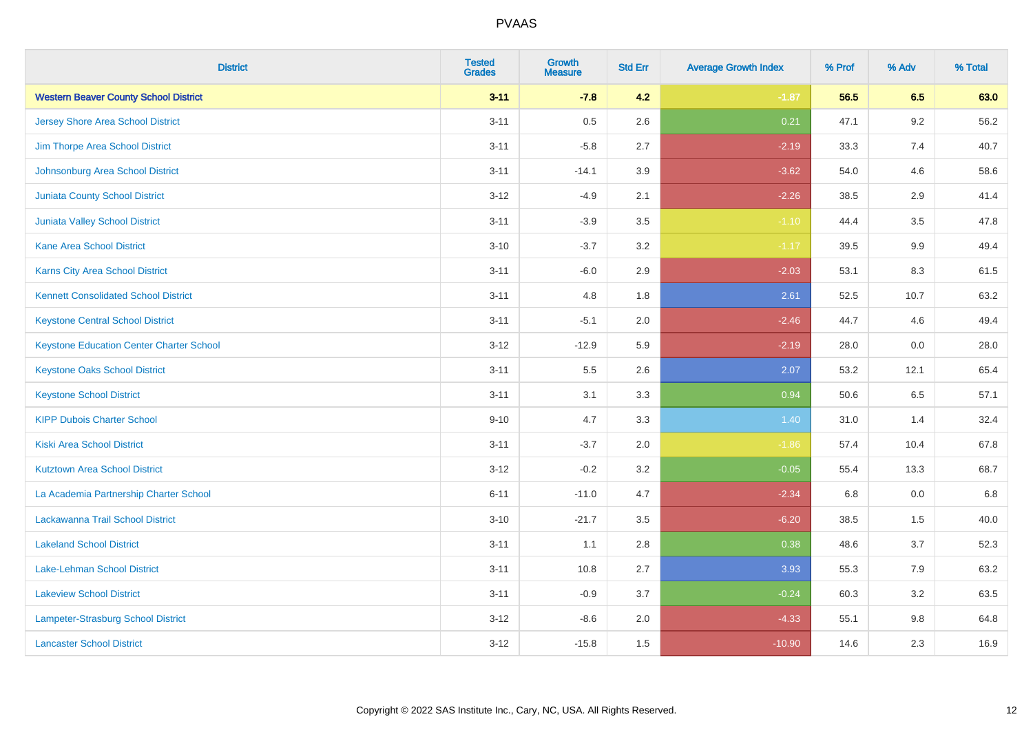| <b>District</b>                                 | <b>Tested</b><br><b>Grades</b> | <b>Growth</b><br><b>Measure</b> | <b>Std Err</b> | <b>Average Growth Index</b> | % Prof | % Adv   | % Total |
|-------------------------------------------------|--------------------------------|---------------------------------|----------------|-----------------------------|--------|---------|---------|
| <b>Western Beaver County School District</b>    | $3 - 11$                       | $-7.8$                          | 4.2            | $-1.87$                     | 56.5   | 6.5     | 63.0    |
| Jersey Shore Area School District               | $3 - 11$                       | 0.5                             | 2.6            | 0.21                        | 47.1   | $9.2\,$ | 56.2    |
| Jim Thorpe Area School District                 | $3 - 11$                       | $-5.8$                          | 2.7            | $-2.19$                     | 33.3   | 7.4     | 40.7    |
| Johnsonburg Area School District                | $3 - 11$                       | $-14.1$                         | 3.9            | $-3.62$                     | 54.0   | 4.6     | 58.6    |
| <b>Juniata County School District</b>           | $3 - 12$                       | $-4.9$                          | 2.1            | $-2.26$                     | 38.5   | 2.9     | 41.4    |
| Juniata Valley School District                  | $3 - 11$                       | $-3.9$                          | 3.5            | $-1.10$                     | 44.4   | 3.5     | 47.8    |
| <b>Kane Area School District</b>                | $3 - 10$                       | $-3.7$                          | 3.2            | $-1.17$                     | 39.5   | 9.9     | 49.4    |
| Karns City Area School District                 | $3 - 11$                       | $-6.0$                          | 2.9            | $-2.03$                     | 53.1   | 8.3     | 61.5    |
| <b>Kennett Consolidated School District</b>     | $3 - 11$                       | 4.8                             | 1.8            | 2.61                        | 52.5   | 10.7    | 63.2    |
| <b>Keystone Central School District</b>         | $3 - 11$                       | $-5.1$                          | 2.0            | $-2.46$                     | 44.7   | 4.6     | 49.4    |
| <b>Keystone Education Center Charter School</b> | $3 - 12$                       | $-12.9$                         | 5.9            | $-2.19$                     | 28.0   | 0.0     | 28.0    |
| <b>Keystone Oaks School District</b>            | $3 - 11$                       | 5.5                             | 2.6            | 2.07                        | 53.2   | 12.1    | 65.4    |
| <b>Keystone School District</b>                 | $3 - 11$                       | 3.1                             | 3.3            | 0.94                        | 50.6   | 6.5     | 57.1    |
| <b>KIPP Dubois Charter School</b>               | $9 - 10$                       | 4.7                             | 3.3            | 1.40                        | 31.0   | 1.4     | 32.4    |
| <b>Kiski Area School District</b>               | $3 - 11$                       | $-3.7$                          | 2.0            | $-1.86$                     | 57.4   | 10.4    | 67.8    |
| <b>Kutztown Area School District</b>            | $3 - 12$                       | $-0.2$                          | 3.2            | $-0.05$                     | 55.4   | 13.3    | 68.7    |
| La Academia Partnership Charter School          | $6 - 11$                       | $-11.0$                         | 4.7            | $-2.34$                     | 6.8    | 0.0     | 6.8     |
| Lackawanna Trail School District                | $3 - 10$                       | $-21.7$                         | 3.5            | $-6.20$                     | 38.5   | 1.5     | 40.0    |
| <b>Lakeland School District</b>                 | $3 - 11$                       | 1.1                             | 2.8            | 0.38                        | 48.6   | 3.7     | 52.3    |
| Lake-Lehman School District                     | $3 - 11$                       | 10.8                            | 2.7            | 3.93                        | 55.3   | 7.9     | 63.2    |
| <b>Lakeview School District</b>                 | $3 - 11$                       | $-0.9$                          | 3.7            | $-0.24$                     | 60.3   | 3.2     | 63.5    |
| <b>Lampeter-Strasburg School District</b>       | $3 - 12$                       | $-8.6$                          | 2.0            | $-4.33$                     | 55.1   | 9.8     | 64.8    |
| <b>Lancaster School District</b>                | $3 - 12$                       | $-15.8$                         | 1.5            | $-10.90$                    | 14.6   | 2.3     | 16.9    |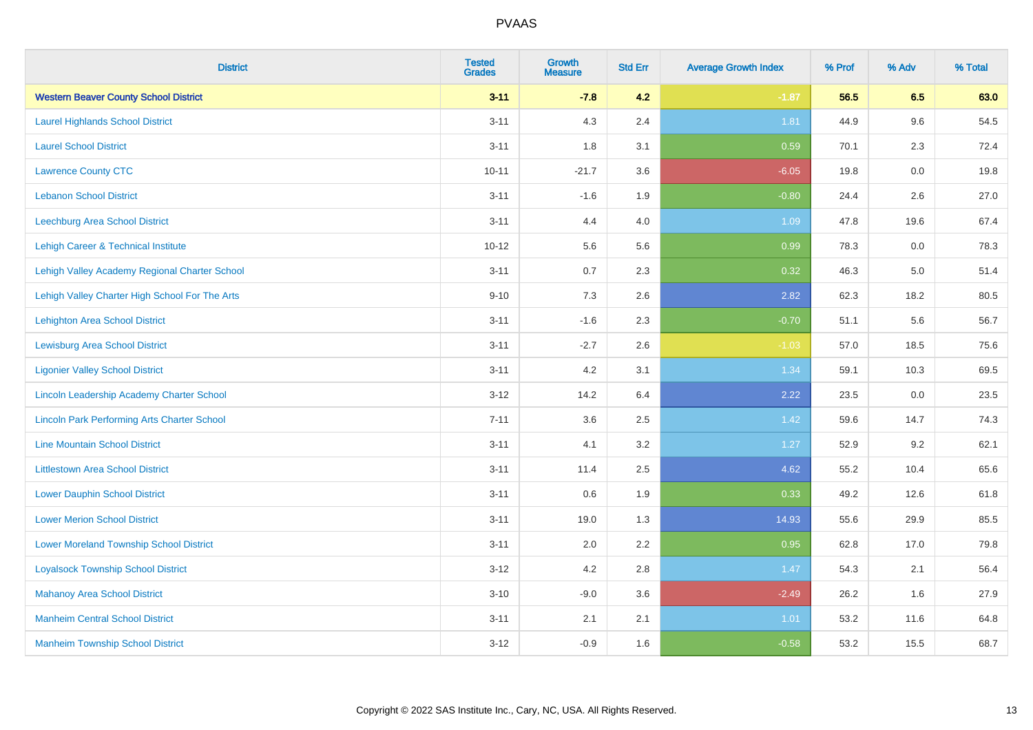| <b>District</b>                                    | <b>Tested</b><br><b>Grades</b> | <b>Growth</b><br><b>Measure</b> | <b>Std Err</b> | <b>Average Growth Index</b> | % Prof | % Adv   | % Total |
|----------------------------------------------------|--------------------------------|---------------------------------|----------------|-----------------------------|--------|---------|---------|
| <b>Western Beaver County School District</b>       | $3 - 11$                       | $-7.8$                          | 4.2            | $-1.87$                     | 56.5   | 6.5     | 63.0    |
| <b>Laurel Highlands School District</b>            | $3 - 11$                       | 4.3                             | 2.4            | 1.81                        | 44.9   | 9.6     | 54.5    |
| <b>Laurel School District</b>                      | $3 - 11$                       | 1.8                             | 3.1            | 0.59                        | 70.1   | 2.3     | 72.4    |
| <b>Lawrence County CTC</b>                         | $10 - 11$                      | $-21.7$                         | 3.6            | $-6.05$                     | 19.8   | $0.0\,$ | 19.8    |
| <b>Lebanon School District</b>                     | $3 - 11$                       | $-1.6$                          | 1.9            | $-0.80$                     | 24.4   | 2.6     | 27.0    |
| Leechburg Area School District                     | $3 - 11$                       | 4.4                             | 4.0            | 1.09                        | 47.8   | 19.6    | 67.4    |
| Lehigh Career & Technical Institute                | $10 - 12$                      | 5.6                             | 5.6            | 0.99                        | 78.3   | 0.0     | 78.3    |
| Lehigh Valley Academy Regional Charter School      | $3 - 11$                       | 0.7                             | 2.3            | 0.32                        | 46.3   | 5.0     | 51.4    |
| Lehigh Valley Charter High School For The Arts     | $9 - 10$                       | 7.3                             | 2.6            | 2.82                        | 62.3   | 18.2    | 80.5    |
| Lehighton Area School District                     | $3 - 11$                       | $-1.6$                          | 2.3            | $-0.70$                     | 51.1   | 5.6     | 56.7    |
| <b>Lewisburg Area School District</b>              | $3 - 11$                       | $-2.7$                          | 2.6            | $-1.03$                     | 57.0   | 18.5    | 75.6    |
| <b>Ligonier Valley School District</b>             | $3 - 11$                       | 4.2                             | 3.1            | 1.34                        | 59.1   | 10.3    | 69.5    |
| Lincoln Leadership Academy Charter School          | $3 - 12$                       | 14.2                            | 6.4            | 2.22                        | 23.5   | $0.0\,$ | 23.5    |
| <b>Lincoln Park Performing Arts Charter School</b> | $7 - 11$                       | 3.6                             | 2.5            | 1.42                        | 59.6   | 14.7    | 74.3    |
| <b>Line Mountain School District</b>               | $3 - 11$                       | 4.1                             | 3.2            | 1.27                        | 52.9   | 9.2     | 62.1    |
| <b>Littlestown Area School District</b>            | $3 - 11$                       | 11.4                            | 2.5            | 4.62                        | 55.2   | 10.4    | 65.6    |
| <b>Lower Dauphin School District</b>               | $3 - 11$                       | 0.6                             | 1.9            | 0.33                        | 49.2   | 12.6    | 61.8    |
| <b>Lower Merion School District</b>                | $3 - 11$                       | 19.0                            | 1.3            | 14.93                       | 55.6   | 29.9    | 85.5    |
| <b>Lower Moreland Township School District</b>     | $3 - 11$                       | 2.0                             | 2.2            | 0.95                        | 62.8   | 17.0    | 79.8    |
| <b>Loyalsock Township School District</b>          | $3 - 12$                       | 4.2                             | 2.8            | 1.47                        | 54.3   | 2.1     | 56.4    |
| <b>Mahanoy Area School District</b>                | $3 - 10$                       | $-9.0$                          | 3.6            | $-2.49$                     | 26.2   | 1.6     | 27.9    |
| <b>Manheim Central School District</b>             | $3 - 11$                       | 2.1                             | 2.1            | 1.01                        | 53.2   | 11.6    | 64.8    |
| <b>Manheim Township School District</b>            | $3 - 12$                       | $-0.9$                          | 1.6            | $-0.58$                     | 53.2   | 15.5    | 68.7    |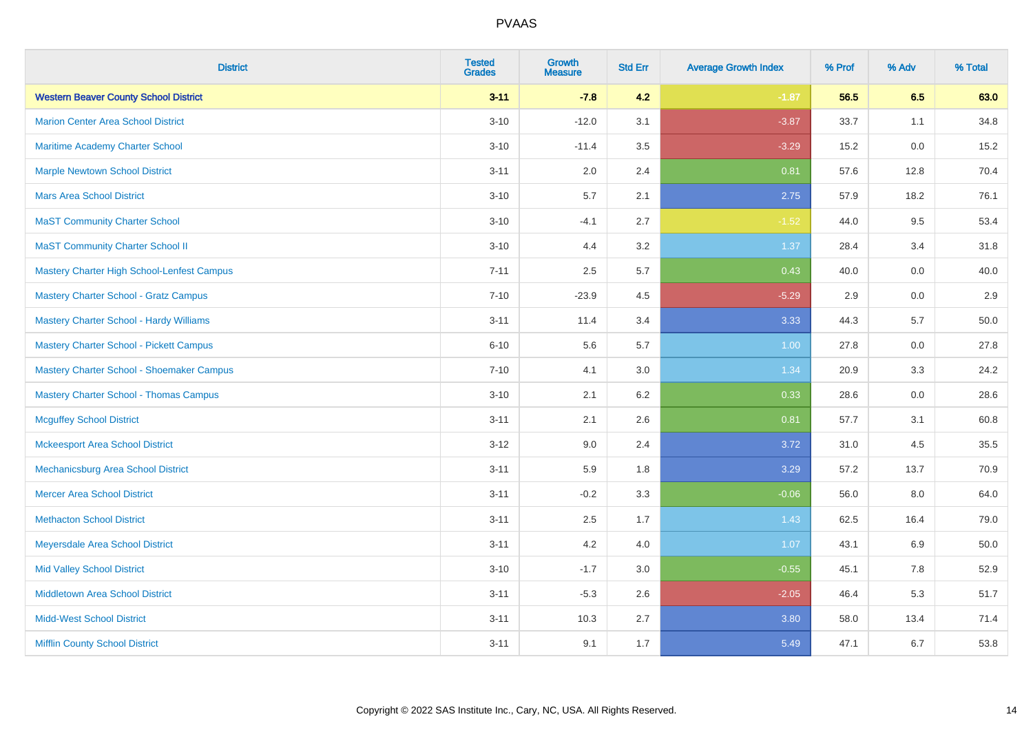| <b>District</b>                                | <b>Tested</b><br><b>Grades</b> | <b>Growth</b><br><b>Measure</b> | <b>Std Err</b> | <b>Average Growth Index</b> | % Prof | % Adv | % Total |
|------------------------------------------------|--------------------------------|---------------------------------|----------------|-----------------------------|--------|-------|---------|
| <b>Western Beaver County School District</b>   | $3 - 11$                       | $-7.8$                          | 4.2            | $-1.87$                     | 56.5   | 6.5   | 63.0    |
| <b>Marion Center Area School District</b>      | $3 - 10$                       | $-12.0$                         | 3.1            | $-3.87$                     | 33.7   | 1.1   | 34.8    |
| Maritime Academy Charter School                | $3 - 10$                       | $-11.4$                         | 3.5            | $-3.29$                     | 15.2   | 0.0   | 15.2    |
| <b>Marple Newtown School District</b>          | $3 - 11$                       | 2.0                             | 2.4            | 0.81                        | 57.6   | 12.8  | 70.4    |
| <b>Mars Area School District</b>               | $3 - 10$                       | 5.7                             | 2.1            | 2.75                        | 57.9   | 18.2  | 76.1    |
| <b>MaST Community Charter School</b>           | $3 - 10$                       | $-4.1$                          | 2.7            | $-1.52$                     | 44.0   | 9.5   | 53.4    |
| <b>MaST Community Charter School II</b>        | $3 - 10$                       | 4.4                             | 3.2            | 1.37                        | 28.4   | 3.4   | 31.8    |
| Mastery Charter High School-Lenfest Campus     | $7 - 11$                       | 2.5                             | 5.7            | 0.43                        | 40.0   | 0.0   | 40.0    |
| <b>Mastery Charter School - Gratz Campus</b>   | $7 - 10$                       | $-23.9$                         | 4.5            | $-5.29$                     | 2.9    | 0.0   | 2.9     |
| <b>Mastery Charter School - Hardy Williams</b> | $3 - 11$                       | 11.4                            | 3.4            | 3.33                        | 44.3   | 5.7   | 50.0    |
| <b>Mastery Charter School - Pickett Campus</b> | $6 - 10$                       | 5.6                             | 5.7            | 1.00                        | 27.8   | 0.0   | 27.8    |
| Mastery Charter School - Shoemaker Campus      | $7 - 10$                       | 4.1                             | 3.0            | 1.34                        | 20.9   | 3.3   | 24.2    |
| <b>Mastery Charter School - Thomas Campus</b>  | $3 - 10$                       | 2.1                             | 6.2            | 0.33                        | 28.6   | 0.0   | 28.6    |
| <b>Mcguffey School District</b>                | $3 - 11$                       | 2.1                             | 2.6            | 0.81                        | 57.7   | 3.1   | 60.8    |
| <b>Mckeesport Area School District</b>         | $3 - 12$                       | 9.0                             | 2.4            | 3.72                        | 31.0   | 4.5   | 35.5    |
| Mechanicsburg Area School District             | $3 - 11$                       | 5.9                             | 1.8            | 3.29                        | 57.2   | 13.7  | 70.9    |
| <b>Mercer Area School District</b>             | $3 - 11$                       | $-0.2$                          | 3.3            | $-0.06$                     | 56.0   | 8.0   | 64.0    |
| <b>Methacton School District</b>               | $3 - 11$                       | 2.5                             | 1.7            | 1.43                        | 62.5   | 16.4  | 79.0    |
| Meyersdale Area School District                | $3 - 11$                       | 4.2                             | 4.0            | 1.07                        | 43.1   | 6.9   | 50.0    |
| <b>Mid Valley School District</b>              | $3 - 10$                       | $-1.7$                          | 3.0            | $-0.55$                     | 45.1   | 7.8   | 52.9    |
| <b>Middletown Area School District</b>         | $3 - 11$                       | $-5.3$                          | 2.6            | $-2.05$                     | 46.4   | 5.3   | 51.7    |
| <b>Midd-West School District</b>               | $3 - 11$                       | 10.3                            | 2.7            | 3.80                        | 58.0   | 13.4  | 71.4    |
| <b>Mifflin County School District</b>          | $3 - 11$                       | 9.1                             | 1.7            | 5.49                        | 47.1   | 6.7   | 53.8    |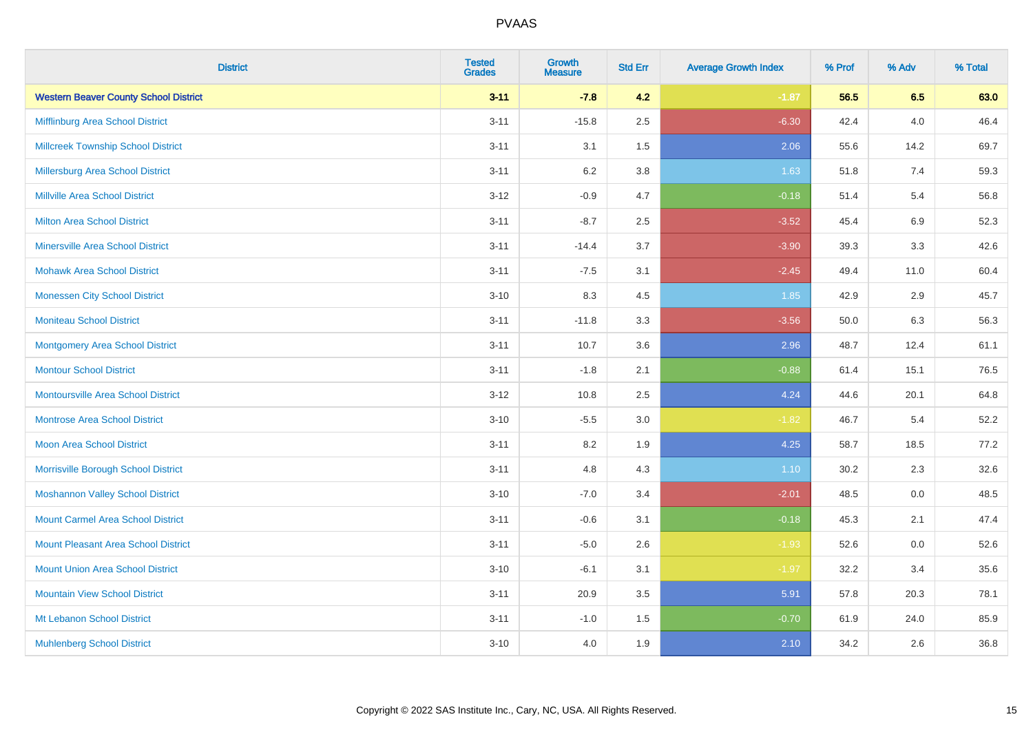| <b>District</b>                              | <b>Tested</b><br><b>Grades</b> | Growth<br><b>Measure</b> | <b>Std Err</b> | <b>Average Growth Index</b> | % Prof | % Adv   | % Total |
|----------------------------------------------|--------------------------------|--------------------------|----------------|-----------------------------|--------|---------|---------|
| <b>Western Beaver County School District</b> | $3 - 11$                       | $-7.8$                   | 4.2            | $-1.87$                     | 56.5   | 6.5     | 63.0    |
| Mifflinburg Area School District             | $3 - 11$                       | $-15.8$                  | 2.5            | $-6.30$                     | 42.4   | 4.0     | 46.4    |
| <b>Millcreek Township School District</b>    | $3 - 11$                       | 3.1                      | 1.5            | 2.06                        | 55.6   | 14.2    | 69.7    |
| Millersburg Area School District             | $3 - 11$                       | 6.2                      | 3.8            | 1.63                        | 51.8   | 7.4     | 59.3    |
| <b>Millville Area School District</b>        | $3 - 12$                       | $-0.9$                   | 4.7            | $-0.18$                     | 51.4   | 5.4     | 56.8    |
| <b>Milton Area School District</b>           | $3 - 11$                       | $-8.7$                   | 2.5            | $-3.52$                     | 45.4   | $6.9\,$ | 52.3    |
| <b>Minersville Area School District</b>      | $3 - 11$                       | $-14.4$                  | 3.7            | $-3.90$                     | 39.3   | 3.3     | 42.6    |
| <b>Mohawk Area School District</b>           | $3 - 11$                       | $-7.5$                   | 3.1            | $-2.45$                     | 49.4   | 11.0    | 60.4    |
| <b>Monessen City School District</b>         | $3 - 10$                       | 8.3                      | 4.5            | 1.85                        | 42.9   | 2.9     | 45.7    |
| <b>Moniteau School District</b>              | $3 - 11$                       | $-11.8$                  | 3.3            | $-3.56$                     | 50.0   | 6.3     | 56.3    |
| <b>Montgomery Area School District</b>       | $3 - 11$                       | 10.7                     | 3.6            | 2.96                        | 48.7   | 12.4    | 61.1    |
| <b>Montour School District</b>               | $3 - 11$                       | $-1.8$                   | 2.1            | $-0.88$                     | 61.4   | 15.1    | 76.5    |
| Montoursville Area School District           | $3 - 12$                       | 10.8                     | 2.5            | 4.24                        | 44.6   | 20.1    | 64.8    |
| <b>Montrose Area School District</b>         | $3 - 10$                       | $-5.5$                   | 3.0            | $-1.82$                     | 46.7   | 5.4     | 52.2    |
| <b>Moon Area School District</b>             | $3 - 11$                       | 8.2                      | 1.9            | 4.25                        | 58.7   | 18.5    | 77.2    |
| Morrisville Borough School District          | $3 - 11$                       | 4.8                      | 4.3            | 1.10                        | 30.2   | 2.3     | 32.6    |
| <b>Moshannon Valley School District</b>      | $3 - 10$                       | $-7.0$                   | 3.4            | $-2.01$                     | 48.5   | 0.0     | 48.5    |
| <b>Mount Carmel Area School District</b>     | $3 - 11$                       | $-0.6$                   | 3.1            | $-0.18$                     | 45.3   | 2.1     | 47.4    |
| <b>Mount Pleasant Area School District</b>   | $3 - 11$                       | $-5.0$                   | 2.6            | $-1.93$                     | 52.6   | 0.0     | 52.6    |
| <b>Mount Union Area School District</b>      | $3 - 10$                       | $-6.1$                   | 3.1            | $-1.97$                     | 32.2   | 3.4     | 35.6    |
| <b>Mountain View School District</b>         | $3 - 11$                       | 20.9                     | 3.5            | 5.91                        | 57.8   | 20.3    | 78.1    |
| Mt Lebanon School District                   | $3 - 11$                       | $-1.0$                   | 1.5            | $-0.70$                     | 61.9   | 24.0    | 85.9    |
| <b>Muhlenberg School District</b>            | $3 - 10$                       | 4.0                      | 1.9            | 2.10                        | 34.2   | 2.6     | 36.8    |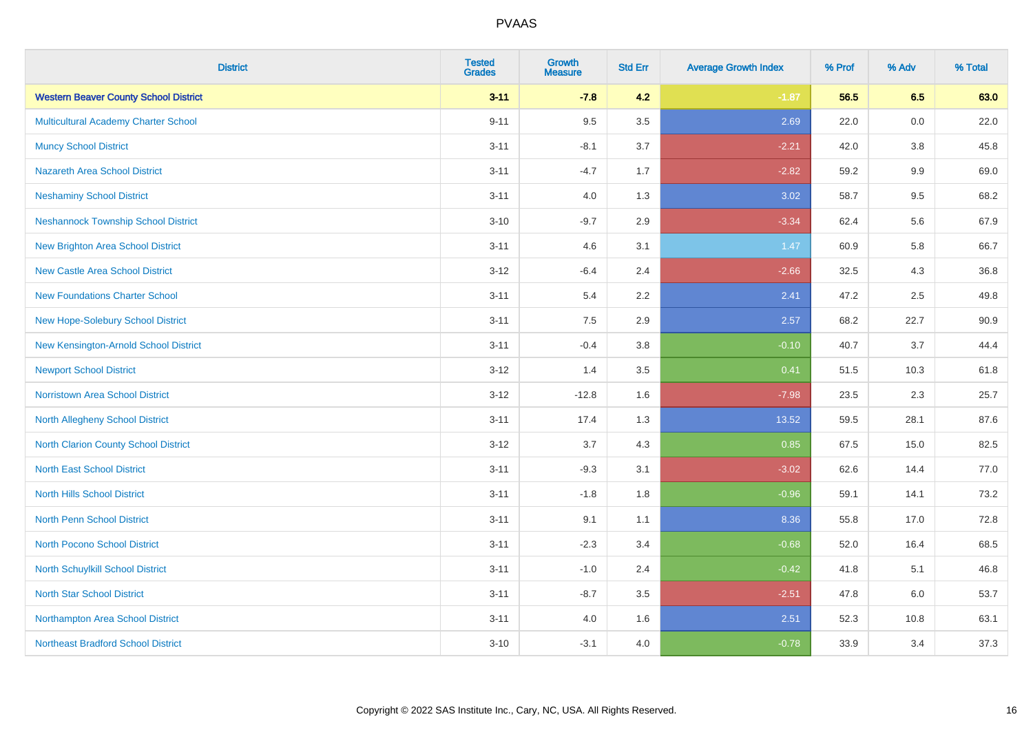| <b>District</b>                              | <b>Tested</b><br><b>Grades</b> | <b>Growth</b><br><b>Measure</b> | <b>Std Err</b> | <b>Average Growth Index</b> | % Prof | % Adv   | % Total |
|----------------------------------------------|--------------------------------|---------------------------------|----------------|-----------------------------|--------|---------|---------|
| <b>Western Beaver County School District</b> | $3 - 11$                       | $-7.8$                          | 4.2            | $-1.87$                     | 56.5   | 6.5     | 63.0    |
| <b>Multicultural Academy Charter School</b>  | $9 - 11$                       | 9.5                             | 3.5            | 2.69                        | 22.0   | 0.0     | 22.0    |
| <b>Muncy School District</b>                 | $3 - 11$                       | $-8.1$                          | 3.7            | $-2.21$                     | 42.0   | 3.8     | 45.8    |
| <b>Nazareth Area School District</b>         | $3 - 11$                       | $-4.7$                          | 1.7            | $-2.82$                     | 59.2   | $9.9\,$ | 69.0    |
| <b>Neshaminy School District</b>             | $3 - 11$                       | 4.0                             | 1.3            | 3.02                        | 58.7   | 9.5     | 68.2    |
| <b>Neshannock Township School District</b>   | $3 - 10$                       | $-9.7$                          | 2.9            | $-3.34$                     | 62.4   | 5.6     | 67.9    |
| <b>New Brighton Area School District</b>     | $3 - 11$                       | 4.6                             | 3.1            | 1.47                        | 60.9   | 5.8     | 66.7    |
| <b>New Castle Area School District</b>       | $3 - 12$                       | $-6.4$                          | 2.4            | $-2.66$                     | 32.5   | 4.3     | 36.8    |
| <b>New Foundations Charter School</b>        | $3 - 11$                       | 5.4                             | 2.2            | 2.41                        | 47.2   | 2.5     | 49.8    |
| New Hope-Solebury School District            | $3 - 11$                       | 7.5                             | 2.9            | 2.57                        | 68.2   | 22.7    | 90.9    |
| New Kensington-Arnold School District        | $3 - 11$                       | $-0.4$                          | 3.8            | $-0.10$                     | 40.7   | 3.7     | 44.4    |
| <b>Newport School District</b>               | $3 - 12$                       | 1.4                             | 3.5            | 0.41                        | 51.5   | 10.3    | 61.8    |
| Norristown Area School District              | $3 - 12$                       | $-12.8$                         | 1.6            | $-7.98$                     | 23.5   | 2.3     | 25.7    |
| <b>North Allegheny School District</b>       | $3 - 11$                       | 17.4                            | 1.3            | 13.52                       | 59.5   | 28.1    | 87.6    |
| <b>North Clarion County School District</b>  | $3 - 12$                       | 3.7                             | 4.3            | 0.85                        | 67.5   | 15.0    | 82.5    |
| <b>North East School District</b>            | $3 - 11$                       | $-9.3$                          | 3.1            | $-3.02$                     | 62.6   | 14.4    | 77.0    |
| <b>North Hills School District</b>           | $3 - 11$                       | $-1.8$                          | 1.8            | $-0.96$                     | 59.1   | 14.1    | 73.2    |
| <b>North Penn School District</b>            | $3 - 11$                       | 9.1                             | 1.1            | 8.36                        | 55.8   | 17.0    | 72.8    |
| North Pocono School District                 | $3 - 11$                       | $-2.3$                          | 3.4            | $-0.68$                     | 52.0   | 16.4    | 68.5    |
| North Schuylkill School District             | $3 - 11$                       | $-1.0$                          | 2.4            | $-0.42$                     | 41.8   | 5.1     | 46.8    |
| <b>North Star School District</b>            | $3 - 11$                       | $-8.7$                          | 3.5            | $-2.51$                     | 47.8   | 6.0     | 53.7    |
| Northampton Area School District             | $3 - 11$                       | 4.0                             | 1.6            | 2.51                        | 52.3   | 10.8    | 63.1    |
| <b>Northeast Bradford School District</b>    | $3 - 10$                       | $-3.1$                          | 4.0            | $-0.78$                     | 33.9   | 3.4     | 37.3    |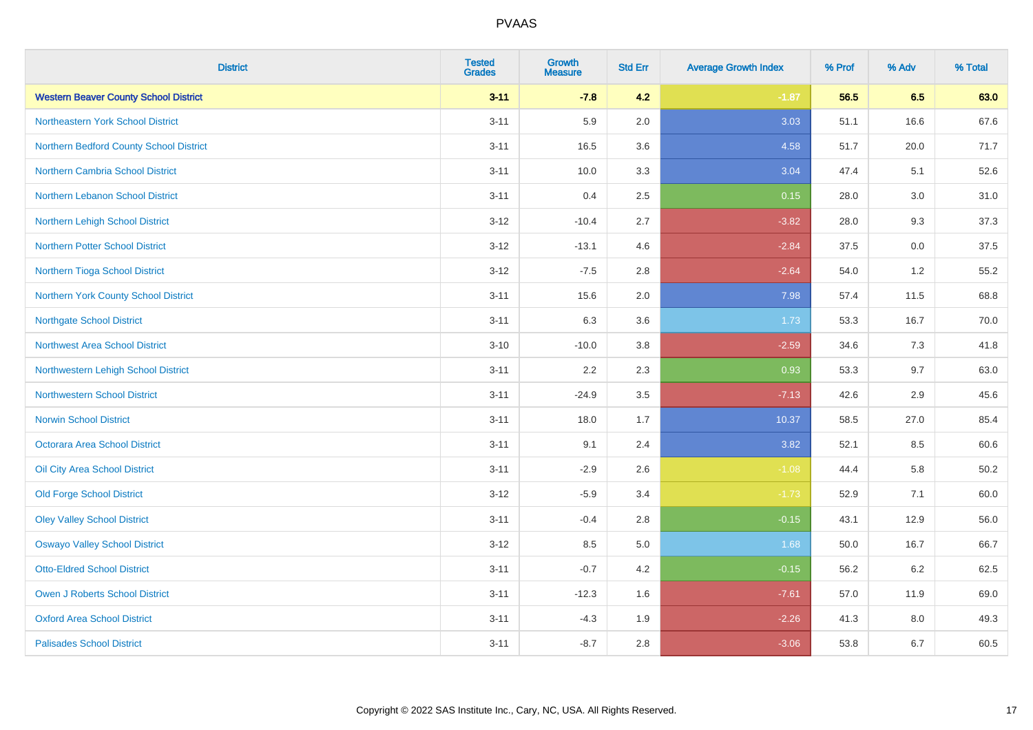| <b>District</b>                              | <b>Tested</b><br><b>Grades</b> | <b>Growth</b><br><b>Measure</b> | <b>Std Err</b> | <b>Average Growth Index</b> | % Prof | % Adv | % Total |
|----------------------------------------------|--------------------------------|---------------------------------|----------------|-----------------------------|--------|-------|---------|
| <b>Western Beaver County School District</b> | $3 - 11$                       | $-7.8$                          | 4.2            | $-1.87$                     | 56.5   | 6.5   | 63.0    |
| Northeastern York School District            | $3 - 11$                       | 5.9                             | 2.0            | 3.03                        | 51.1   | 16.6  | 67.6    |
| Northern Bedford County School District      | $3 - 11$                       | 16.5                            | 3.6            | 4.58                        | 51.7   | 20.0  | 71.7    |
| Northern Cambria School District             | $3 - 11$                       | 10.0                            | 3.3            | 3.04                        | 47.4   | 5.1   | 52.6    |
| Northern Lebanon School District             | $3 - 11$                       | 0.4                             | 2.5            | 0.15                        | 28.0   | 3.0   | 31.0    |
| Northern Lehigh School District              | $3 - 12$                       | $-10.4$                         | 2.7            | $-3.82$                     | 28.0   | 9.3   | 37.3    |
| <b>Northern Potter School District</b>       | $3 - 12$                       | $-13.1$                         | 4.6            | $-2.84$                     | 37.5   | 0.0   | 37.5    |
| Northern Tioga School District               | $3 - 12$                       | $-7.5$                          | 2.8            | $-2.64$                     | 54.0   | 1.2   | 55.2    |
| Northern York County School District         | $3 - 11$                       | 15.6                            | 2.0            | 7.98                        | 57.4   | 11.5  | 68.8    |
| <b>Northgate School District</b>             | $3 - 11$                       | 6.3                             | 3.6            | 1.73                        | 53.3   | 16.7  | 70.0    |
| Northwest Area School District               | $3 - 10$                       | $-10.0$                         | 3.8            | $-2.59$                     | 34.6   | 7.3   | 41.8    |
| Northwestern Lehigh School District          | $3 - 11$                       | 2.2                             | 2.3            | 0.93                        | 53.3   | 9.7   | 63.0    |
| <b>Northwestern School District</b>          | $3 - 11$                       | $-24.9$                         | 3.5            | $-7.13$                     | 42.6   | 2.9   | 45.6    |
| <b>Norwin School District</b>                | $3 - 11$                       | 18.0                            | 1.7            | 10.37                       | 58.5   | 27.0  | 85.4    |
| <b>Octorara Area School District</b>         | $3 - 11$                       | 9.1                             | 2.4            | 3.82                        | 52.1   | 8.5   | 60.6    |
| Oil City Area School District                | $3 - 11$                       | $-2.9$                          | 2.6            | $-1.08$                     | 44.4   | 5.8   | 50.2    |
| <b>Old Forge School District</b>             | $3 - 12$                       | $-5.9$                          | 3.4            | $-1.73$                     | 52.9   | 7.1   | 60.0    |
| <b>Oley Valley School District</b>           | $3 - 11$                       | $-0.4$                          | 2.8            | $-0.15$                     | 43.1   | 12.9  | 56.0    |
| <b>Oswayo Valley School District</b>         | $3 - 12$                       | 8.5                             | 5.0            | 1.68                        | 50.0   | 16.7  | 66.7    |
| <b>Otto-Eldred School District</b>           | $3 - 11$                       | $-0.7$                          | 4.2            | $-0.15$                     | 56.2   | 6.2   | 62.5    |
| <b>Owen J Roberts School District</b>        | $3 - 11$                       | $-12.3$                         | 1.6            | $-7.61$                     | 57.0   | 11.9  | 69.0    |
| <b>Oxford Area School District</b>           | $3 - 11$                       | $-4.3$                          | 1.9            | $-2.26$                     | 41.3   | 8.0   | 49.3    |
| <b>Palisades School District</b>             | $3 - 11$                       | $-8.7$                          | 2.8            | $-3.06$                     | 53.8   | 6.7   | 60.5    |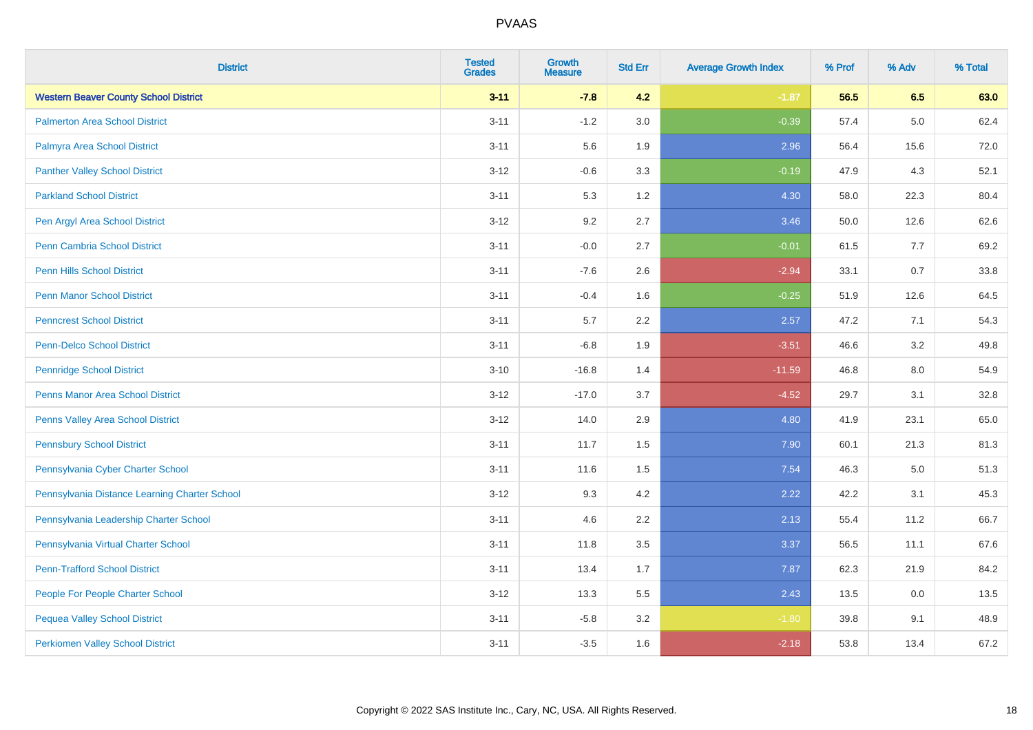| <b>District</b>                               | <b>Tested</b><br><b>Grades</b> | <b>Growth</b><br><b>Measure</b> | <b>Std Err</b> | <b>Average Growth Index</b> | % Prof | % Adv   | % Total |
|-----------------------------------------------|--------------------------------|---------------------------------|----------------|-----------------------------|--------|---------|---------|
| <b>Western Beaver County School District</b>  | $3 - 11$                       | $-7.8$                          | 4.2            | $-1.87$                     | 56.5   | 6.5     | 63.0    |
| <b>Palmerton Area School District</b>         | $3 - 11$                       | $-1.2$                          | 3.0            | $-0.39$                     | 57.4   | $5.0\,$ | 62.4    |
| Palmyra Area School District                  | $3 - 11$                       | 5.6                             | 1.9            | 2.96                        | 56.4   | 15.6    | 72.0    |
| <b>Panther Valley School District</b>         | $3 - 12$                       | $-0.6$                          | 3.3            | $-0.19$                     | 47.9   | 4.3     | 52.1    |
| <b>Parkland School District</b>               | $3 - 11$                       | 5.3                             | 1.2            | 4.30                        | 58.0   | 22.3    | 80.4    |
| Pen Argyl Area School District                | $3 - 12$                       | 9.2                             | 2.7            | 3.46                        | 50.0   | 12.6    | 62.6    |
| Penn Cambria School District                  | $3 - 11$                       | $-0.0$                          | 2.7            | $-0.01$                     | 61.5   | 7.7     | 69.2    |
| <b>Penn Hills School District</b>             | $3 - 11$                       | $-7.6$                          | 2.6            | $-2.94$                     | 33.1   | 0.7     | 33.8    |
| <b>Penn Manor School District</b>             | $3 - 11$                       | $-0.4$                          | 1.6            | $-0.25$                     | 51.9   | 12.6    | 64.5    |
| <b>Penncrest School District</b>              | $3 - 11$                       | 5.7                             | $2.2\,$        | 2.57                        | 47.2   | 7.1     | 54.3    |
| Penn-Delco School District                    | $3 - 11$                       | $-6.8$                          | 1.9            | $-3.51$                     | 46.6   | 3.2     | 49.8    |
| <b>Pennridge School District</b>              | $3 - 10$                       | $-16.8$                         | 1.4            | $-11.59$                    | 46.8   | 8.0     | 54.9    |
| <b>Penns Manor Area School District</b>       | $3 - 12$                       | $-17.0$                         | 3.7            | $-4.52$                     | 29.7   | 3.1     | 32.8    |
| Penns Valley Area School District             | $3 - 12$                       | 14.0                            | 2.9            | 4.80                        | 41.9   | 23.1    | 65.0    |
| <b>Pennsbury School District</b>              | $3 - 11$                       | 11.7                            | 1.5            | 7.90                        | 60.1   | 21.3    | 81.3    |
| Pennsylvania Cyber Charter School             | $3 - 11$                       | 11.6                            | 1.5            | 7.54                        | 46.3   | 5.0     | 51.3    |
| Pennsylvania Distance Learning Charter School | $3 - 12$                       | 9.3                             | 4.2            | 2.22                        | 42.2   | 3.1     | 45.3    |
| Pennsylvania Leadership Charter School        | $3 - 11$                       | 4.6                             | 2.2            | 2.13                        | 55.4   | 11.2    | 66.7    |
| Pennsylvania Virtual Charter School           | $3 - 11$                       | 11.8                            | 3.5            | 3.37                        | 56.5   | 11.1    | 67.6    |
| <b>Penn-Trafford School District</b>          | $3 - 11$                       | 13.4                            | 1.7            | 7.87                        | 62.3   | 21.9    | 84.2    |
| People For People Charter School              | $3 - 12$                       | 13.3                            | 5.5            | 2.43                        | 13.5   | 0.0     | 13.5    |
| <b>Pequea Valley School District</b>          | $3 - 11$                       | $-5.8$                          | 3.2            | $-1.80$                     | 39.8   | 9.1     | 48.9    |
| <b>Perkiomen Valley School District</b>       | $3 - 11$                       | $-3.5$                          | 1.6            | $-2.18$                     | 53.8   | 13.4    | 67.2    |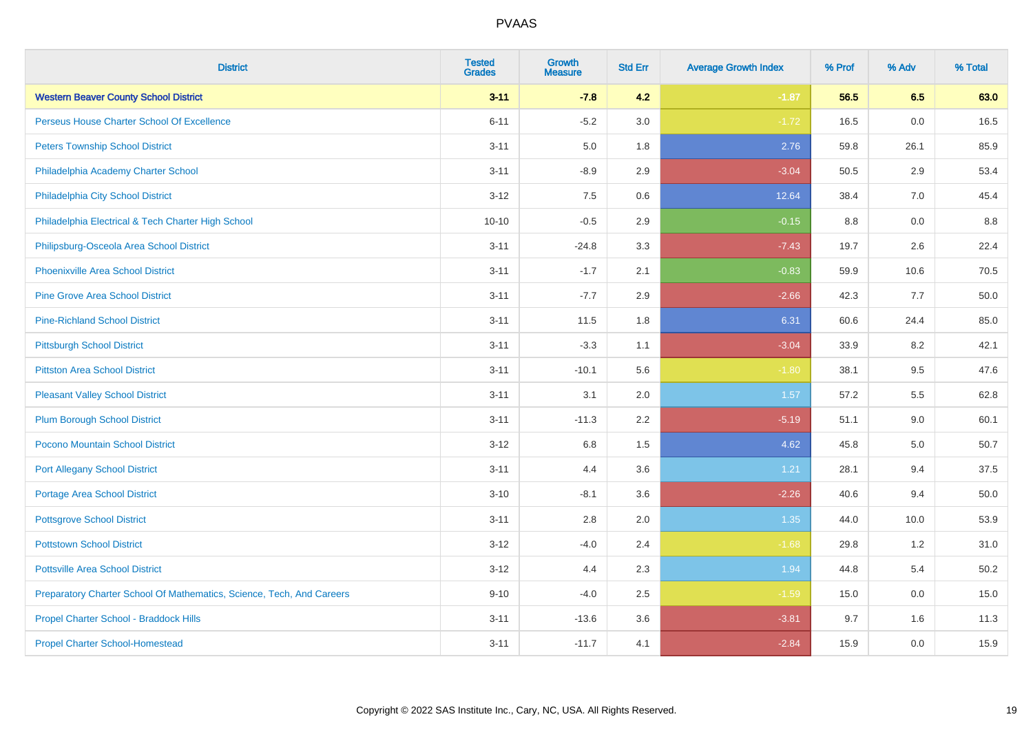| <b>District</b>                                                       | <b>Tested</b><br><b>Grades</b> | <b>Growth</b><br><b>Measure</b> | <b>Std Err</b> | <b>Average Growth Index</b> | % Prof  | % Adv | % Total |
|-----------------------------------------------------------------------|--------------------------------|---------------------------------|----------------|-----------------------------|---------|-------|---------|
| <b>Western Beaver County School District</b>                          | $3 - 11$                       | $-7.8$                          | 4.2            | $-1.87$                     | 56.5    | 6.5   | 63.0    |
| Perseus House Charter School Of Excellence                            | $6 - 11$                       | $-5.2$                          | 3.0            | $-1.72$                     | 16.5    | 0.0   | 16.5    |
| <b>Peters Township School District</b>                                | $3 - 11$                       | 5.0                             | 1.8            | 2.76                        | 59.8    | 26.1  | 85.9    |
| Philadelphia Academy Charter School                                   | $3 - 11$                       | $-8.9$                          | 2.9            | $-3.04$                     | 50.5    | 2.9   | 53.4    |
| Philadelphia City School District                                     | $3 - 12$                       | 7.5                             | 0.6            | 12.64                       | 38.4    | 7.0   | 45.4    |
| Philadelphia Electrical & Tech Charter High School                    | $10 - 10$                      | $-0.5$                          | 2.9            | $-0.15$                     | $8.8\,$ | 0.0   | 8.8     |
| Philipsburg-Osceola Area School District                              | $3 - 11$                       | $-24.8$                         | 3.3            | $-7.43$                     | 19.7    | 2.6   | 22.4    |
| <b>Phoenixville Area School District</b>                              | $3 - 11$                       | $-1.7$                          | 2.1            | $-0.83$                     | 59.9    | 10.6  | 70.5    |
| <b>Pine Grove Area School District</b>                                | $3 - 11$                       | $-7.7$                          | 2.9            | $-2.66$                     | 42.3    | 7.7   | 50.0    |
| <b>Pine-Richland School District</b>                                  | $3 - 11$                       | 11.5                            | 1.8            | 6.31                        | 60.6    | 24.4  | 85.0    |
| <b>Pittsburgh School District</b>                                     | $3 - 11$                       | $-3.3$                          | 1.1            | $-3.04$                     | 33.9    | 8.2   | 42.1    |
| <b>Pittston Area School District</b>                                  | $3 - 11$                       | $-10.1$                         | 5.6            | $-1.80$                     | 38.1    | 9.5   | 47.6    |
| <b>Pleasant Valley School District</b>                                | $3 - 11$                       | 3.1                             | 2.0            | 1.57                        | 57.2    | 5.5   | 62.8    |
| <b>Plum Borough School District</b>                                   | $3 - 11$                       | $-11.3$                         | 2.2            | $-5.19$                     | 51.1    | 9.0   | 60.1    |
| Pocono Mountain School District                                       | $3 - 12$                       | 6.8                             | 1.5            | 4.62                        | 45.8    | 5.0   | 50.7    |
| <b>Port Allegany School District</b>                                  | $3 - 11$                       | 4.4                             | 3.6            | 1.21                        | 28.1    | 9.4   | 37.5    |
| Portage Area School District                                          | $3 - 10$                       | $-8.1$                          | 3.6            | $-2.26$                     | 40.6    | 9.4   | 50.0    |
| <b>Pottsgrove School District</b>                                     | $3 - 11$                       | 2.8                             | 2.0            | 1.35                        | 44.0    | 10.0  | 53.9    |
| <b>Pottstown School District</b>                                      | $3 - 12$                       | $-4.0$                          | 2.4            | $-1.68$                     | 29.8    | 1.2   | 31.0    |
| <b>Pottsville Area School District</b>                                | $3 - 12$                       | 4.4                             | 2.3            | 1.94                        | 44.8    | 5.4   | 50.2    |
| Preparatory Charter School Of Mathematics, Science, Tech, And Careers | $9 - 10$                       | $-4.0$                          | 2.5            | $-1.59$                     | 15.0    | 0.0   | 15.0    |
| Propel Charter School - Braddock Hills                                | $3 - 11$                       | $-13.6$                         | 3.6            | $-3.81$                     | 9.7     | 1.6   | 11.3    |
| <b>Propel Charter School-Homestead</b>                                | $3 - 11$                       | $-11.7$                         | 4.1            | $-2.84$                     | 15.9    | 0.0   | 15.9    |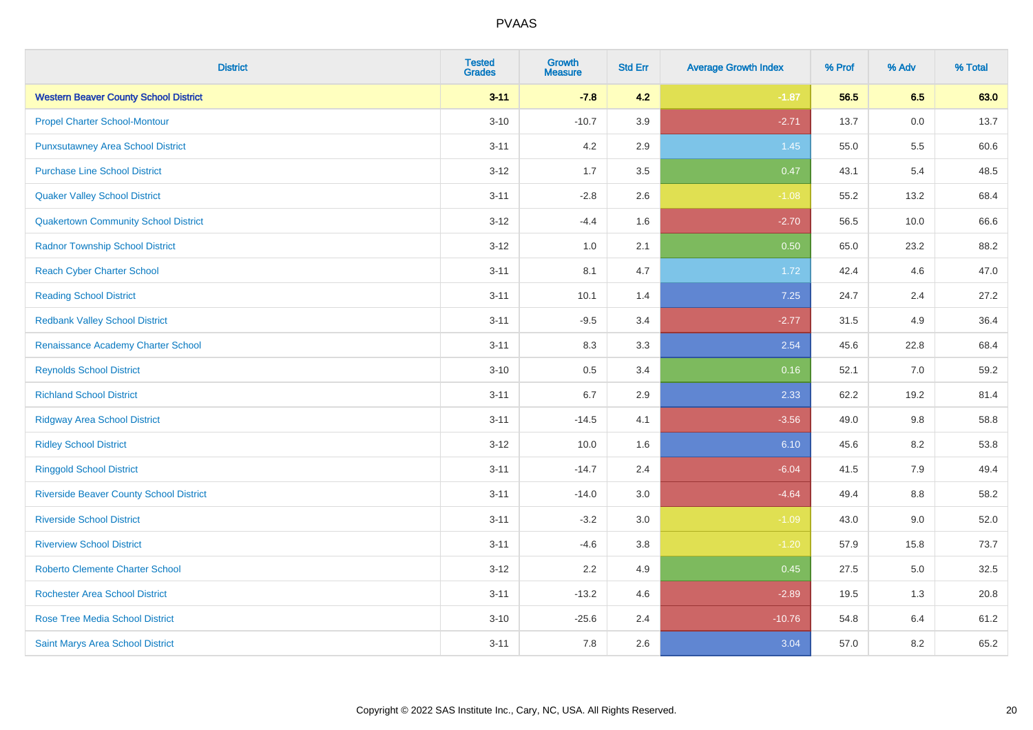| <b>District</b>                                | <b>Tested</b><br><b>Grades</b> | <b>Growth</b><br><b>Measure</b> | <b>Std Err</b> | <b>Average Growth Index</b> | % Prof | % Adv   | % Total |
|------------------------------------------------|--------------------------------|---------------------------------|----------------|-----------------------------|--------|---------|---------|
| <b>Western Beaver County School District</b>   | $3 - 11$                       | $-7.8$                          | 4.2            | $-1.87$                     | 56.5   | 6.5     | 63.0    |
| <b>Propel Charter School-Montour</b>           | $3 - 10$                       | $-10.7$                         | 3.9            | $-2.71$                     | 13.7   | 0.0     | 13.7    |
| <b>Punxsutawney Area School District</b>       | $3 - 11$                       | 4.2                             | 2.9            | 1.45                        | 55.0   | 5.5     | 60.6    |
| <b>Purchase Line School District</b>           | $3 - 12$                       | 1.7                             | 3.5            | 0.47                        | 43.1   | 5.4     | 48.5    |
| <b>Quaker Valley School District</b>           | $3 - 11$                       | $-2.8$                          | 2.6            | $-1.08$                     | 55.2   | 13.2    | 68.4    |
| <b>Quakertown Community School District</b>    | $3 - 12$                       | $-4.4$                          | 1.6            | $-2.70$                     | 56.5   | 10.0    | 66.6    |
| <b>Radnor Township School District</b>         | $3 - 12$                       | 1.0                             | 2.1            | 0.50                        | 65.0   | 23.2    | 88.2    |
| <b>Reach Cyber Charter School</b>              | $3 - 11$                       | 8.1                             | 4.7            | 1.72                        | 42.4   | 4.6     | 47.0    |
| <b>Reading School District</b>                 | $3 - 11$                       | 10.1                            | 1.4            | 7.25                        | 24.7   | 2.4     | 27.2    |
| <b>Redbank Valley School District</b>          | $3 - 11$                       | $-9.5$                          | 3.4            | $-2.77$                     | 31.5   | 4.9     | 36.4    |
| Renaissance Academy Charter School             | $3 - 11$                       | 8.3                             | 3.3            | 2.54                        | 45.6   | 22.8    | 68.4    |
| <b>Reynolds School District</b>                | $3 - 10$                       | 0.5                             | 3.4            | 0.16                        | 52.1   | 7.0     | 59.2    |
| <b>Richland School District</b>                | $3 - 11$                       | 6.7                             | 2.9            | 2.33                        | 62.2   | 19.2    | 81.4    |
| <b>Ridgway Area School District</b>            | $3 - 11$                       | $-14.5$                         | 4.1            | $-3.56$                     | 49.0   | 9.8     | 58.8    |
| <b>Ridley School District</b>                  | $3 - 12$                       | 10.0                            | 1.6            | 6.10                        | 45.6   | $8.2\,$ | 53.8    |
| <b>Ringgold School District</b>                | $3 - 11$                       | $-14.7$                         | 2.4            | $-6.04$                     | 41.5   | 7.9     | 49.4    |
| <b>Riverside Beaver County School District</b> | $3 - 11$                       | $-14.0$                         | 3.0            | $-4.64$                     | 49.4   | 8.8     | 58.2    |
| <b>Riverside School District</b>               | $3 - 11$                       | $-3.2$                          | 3.0            | $-1.09$                     | 43.0   | 9.0     | 52.0    |
| <b>Riverview School District</b>               | $3 - 11$                       | $-4.6$                          | 3.8            | $-1.20$                     | 57.9   | 15.8    | 73.7    |
| <b>Roberto Clemente Charter School</b>         | $3 - 12$                       | 2.2                             | 4.9            | 0.45                        | 27.5   | 5.0     | 32.5    |
| <b>Rochester Area School District</b>          | $3 - 11$                       | $-13.2$                         | 4.6            | $-2.89$                     | 19.5   | 1.3     | 20.8    |
| Rose Tree Media School District                | $3 - 10$                       | $-25.6$                         | 2.4            | $-10.76$                    | 54.8   | 6.4     | 61.2    |
| Saint Marys Area School District               | $3 - 11$                       | 7.8                             | 2.6            | 3.04                        | 57.0   | 8.2     | 65.2    |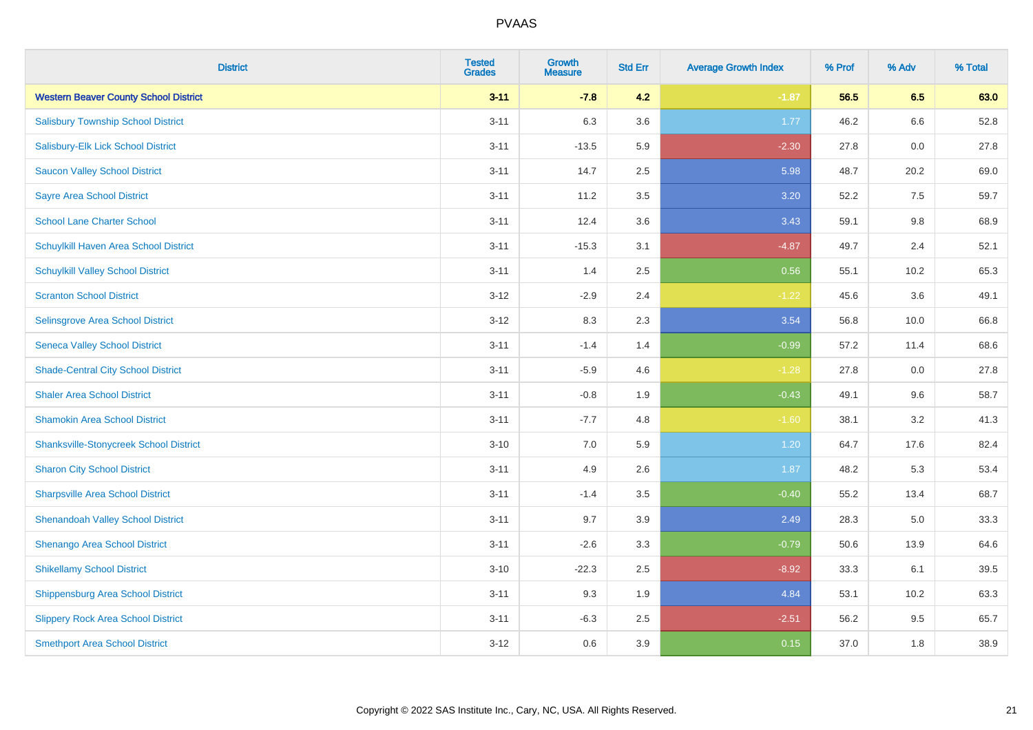| <b>District</b>                               | <b>Tested</b><br><b>Grades</b> | <b>Growth</b><br><b>Measure</b> | <b>Std Err</b> | <b>Average Growth Index</b> | % Prof | % Adv | % Total |
|-----------------------------------------------|--------------------------------|---------------------------------|----------------|-----------------------------|--------|-------|---------|
| <b>Western Beaver County School District</b>  | $3 - 11$                       | $-7.8$                          | 4.2            | $-1.87$                     | 56.5   | 6.5   | 63.0    |
| <b>Salisbury Township School District</b>     | $3 - 11$                       | 6.3                             | 3.6            | 1.77                        | 46.2   | 6.6   | 52.8    |
| Salisbury-Elk Lick School District            | $3 - 11$                       | $-13.5$                         | 5.9            | $-2.30$                     | 27.8   | 0.0   | 27.8    |
| <b>Saucon Valley School District</b>          | $3 - 11$                       | 14.7                            | 2.5            | 5.98                        | 48.7   | 20.2  | 69.0    |
| <b>Sayre Area School District</b>             | $3 - 11$                       | 11.2                            | 3.5            | 3.20                        | 52.2   | 7.5   | 59.7    |
| <b>School Lane Charter School</b>             | $3 - 11$                       | 12.4                            | 3.6            | 3.43                        | 59.1   | 9.8   | 68.9    |
| Schuylkill Haven Area School District         | $3 - 11$                       | $-15.3$                         | 3.1            | $-4.87$                     | 49.7   | 2.4   | 52.1    |
| <b>Schuylkill Valley School District</b>      | $3 - 11$                       | 1.4                             | 2.5            | 0.56                        | 55.1   | 10.2  | 65.3    |
| <b>Scranton School District</b>               | $3 - 12$                       | $-2.9$                          | 2.4            | $-1.22$                     | 45.6   | 3.6   | 49.1    |
| <b>Selinsgrove Area School District</b>       | $3 - 12$                       | 8.3                             | 2.3            | 3.54                        | 56.8   | 10.0  | 66.8    |
| <b>Seneca Valley School District</b>          | $3 - 11$                       | $-1.4$                          | 1.4            | $-0.99$                     | 57.2   | 11.4  | 68.6    |
| <b>Shade-Central City School District</b>     | $3 - 11$                       | $-5.9$                          | 4.6            | $-1.28$                     | 27.8   | 0.0   | 27.8    |
| <b>Shaler Area School District</b>            | $3 - 11$                       | $-0.8$                          | 1.9            | $-0.43$                     | 49.1   | 9.6   | 58.7    |
| <b>Shamokin Area School District</b>          | $3 - 11$                       | $-7.7$                          | 4.8            | $-1.60$                     | 38.1   | 3.2   | 41.3    |
| <b>Shanksville-Stonycreek School District</b> | $3 - 10$                       | 7.0                             | 5.9            | 1.20                        | 64.7   | 17.6  | 82.4    |
| <b>Sharon City School District</b>            | $3 - 11$                       | 4.9                             | 2.6            | 1.87                        | 48.2   | 5.3   | 53.4    |
| <b>Sharpsville Area School District</b>       | $3 - 11$                       | $-1.4$                          | 3.5            | $-0.40$                     | 55.2   | 13.4  | 68.7    |
| <b>Shenandoah Valley School District</b>      | $3 - 11$                       | 9.7                             | 3.9            | 2.49                        | 28.3   | 5.0   | 33.3    |
| Shenango Area School District                 | $3 - 11$                       | $-2.6$                          | 3.3            | $-0.79$                     | 50.6   | 13.9  | 64.6    |
| <b>Shikellamy School District</b>             | $3 - 10$                       | $-22.3$                         | 2.5            | $-8.92$                     | 33.3   | 6.1   | 39.5    |
| <b>Shippensburg Area School District</b>      | $3 - 11$                       | 9.3                             | 1.9            | 4.84                        | 53.1   | 10.2  | 63.3    |
| <b>Slippery Rock Area School District</b>     | $3 - 11$                       | $-6.3$                          | 2.5            | $-2.51$                     | 56.2   | 9.5   | 65.7    |
| <b>Smethport Area School District</b>         | $3 - 12$                       | 0.6                             | 3.9            | 0.15                        | 37.0   | 1.8   | 38.9    |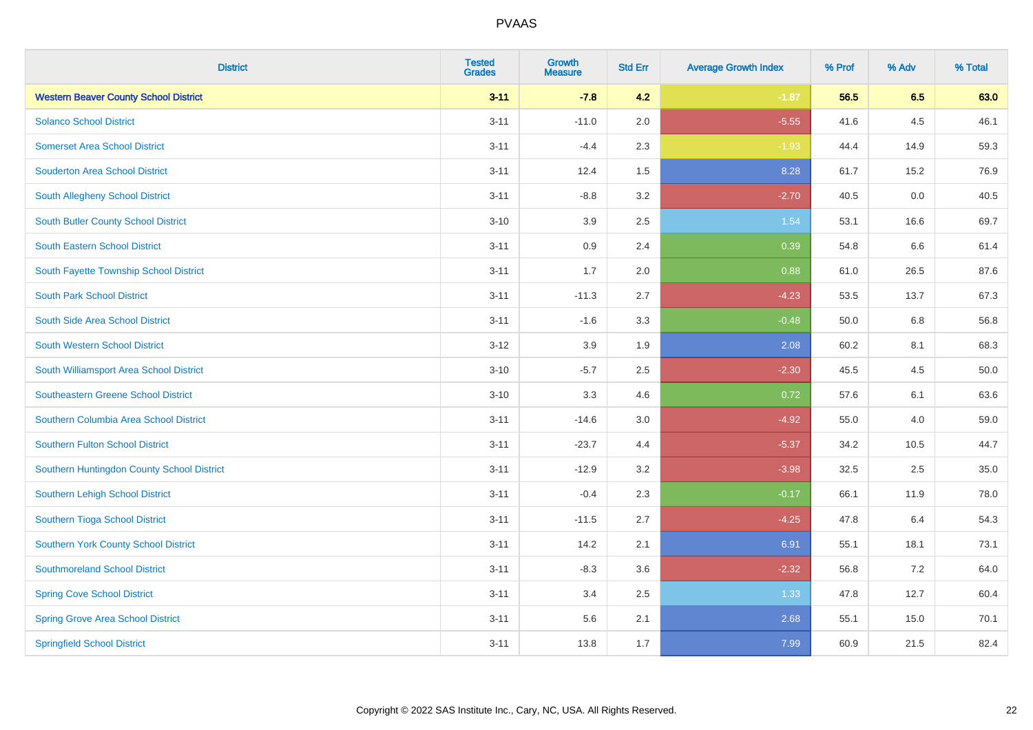| <b>District</b>                              | <b>Tested</b><br><b>Grades</b> | <b>Growth</b><br><b>Measure</b> | <b>Std Err</b> | <b>Average Growth Index</b> | % Prof | % Adv | % Total |
|----------------------------------------------|--------------------------------|---------------------------------|----------------|-----------------------------|--------|-------|---------|
| <b>Western Beaver County School District</b> | $3 - 11$                       | $-7.8$                          | 4.2            | $-1.87$                     | 56.5   | 6.5   | 63.0    |
| <b>Solanco School District</b>               | $3 - 11$                       | $-11.0$                         | 2.0            | $-5.55$                     | 41.6   | 4.5   | 46.1    |
| <b>Somerset Area School District</b>         | $3 - 11$                       | $-4.4$                          | 2.3            | $-1.93$                     | 44.4   | 14.9  | 59.3    |
| <b>Souderton Area School District</b>        | $3 - 11$                       | 12.4                            | 1.5            | 8.28                        | 61.7   | 15.2  | 76.9    |
| South Allegheny School District              | $3 - 11$                       | $-8.8$                          | 3.2            | $-2.70$                     | 40.5   | 0.0   | 40.5    |
| <b>South Butler County School District</b>   | $3 - 10$                       | 3.9                             | 2.5            | 1.54                        | 53.1   | 16.6  | 69.7    |
| South Eastern School District                | $3 - 11$                       | 0.9                             | 2.4            | 0.39                        | 54.8   | 6.6   | 61.4    |
| South Fayette Township School District       | $3 - 11$                       | 1.7                             | 2.0            | 0.88                        | 61.0   | 26.5  | 87.6    |
| <b>South Park School District</b>            | $3 - 11$                       | $-11.3$                         | 2.7            | $-4.23$                     | 53.5   | 13.7  | 67.3    |
| South Side Area School District              | $3 - 11$                       | $-1.6$                          | 3.3            | $-0.48$                     | 50.0   | 6.8   | 56.8    |
| South Western School District                | $3-12$                         | 3.9                             | 1.9            | 2.08                        | 60.2   | 8.1   | 68.3    |
| South Williamsport Area School District      | $3 - 10$                       | $-5.7$                          | 2.5            | $-2.30$                     | 45.5   | 4.5   | 50.0    |
| Southeastern Greene School District          | $3 - 10$                       | 3.3                             | 4.6            | 0.72                        | 57.6   | 6.1   | 63.6    |
| Southern Columbia Area School District       | $3 - 11$                       | $-14.6$                         | 3.0            | $-4.92$                     | 55.0   | 4.0   | 59.0    |
| <b>Southern Fulton School District</b>       | $3 - 11$                       | $-23.7$                         | 4.4            | $-5.37$                     | 34.2   | 10.5  | 44.7    |
| Southern Huntingdon County School District   | $3 - 11$                       | $-12.9$                         | 3.2            | $-3.98$                     | 32.5   | 2.5   | 35.0    |
| Southern Lehigh School District              | $3 - 11$                       | $-0.4$                          | 2.3            | $-0.17$                     | 66.1   | 11.9  | 78.0    |
| Southern Tioga School District               | $3 - 11$                       | $-11.5$                         | 2.7            | $-4.25$                     | 47.8   | 6.4   | 54.3    |
| Southern York County School District         | $3 - 11$                       | 14.2                            | 2.1            | 6.91                        | 55.1   | 18.1  | 73.1    |
| <b>Southmoreland School District</b>         | $3 - 11$                       | $-8.3$                          | 3.6            | $-2.32$                     | 56.8   | 7.2   | 64.0    |
| <b>Spring Cove School District</b>           | $3 - 11$                       | 3.4                             | 2.5            | 1.33                        | 47.8   | 12.7  | 60.4    |
| <b>Spring Grove Area School District</b>     | $3 - 11$                       | 5.6                             | 2.1            | 2.68                        | 55.1   | 15.0  | 70.1    |
| <b>Springfield School District</b>           | $3 - 11$                       | 13.8                            | 1.7            | 7.99                        | 60.9   | 21.5  | 82.4    |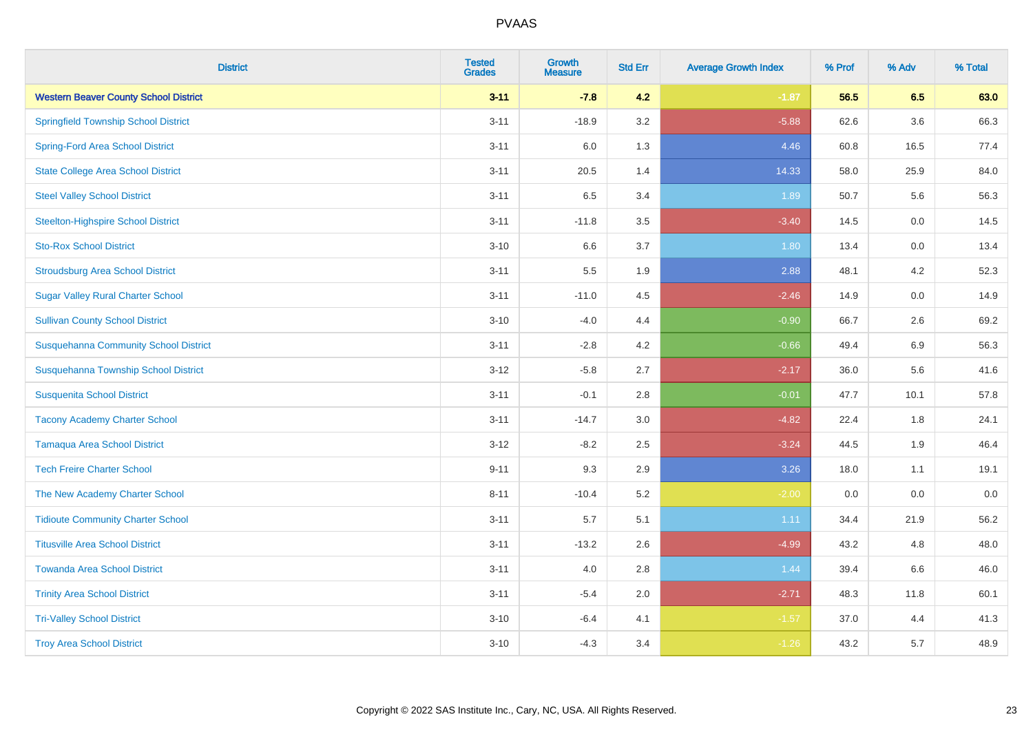| <b>District</b>                              | <b>Tested</b><br><b>Grades</b> | Growth<br><b>Measure</b> | <b>Std Err</b> | <b>Average Growth Index</b> | % Prof | % Adv   | % Total |
|----------------------------------------------|--------------------------------|--------------------------|----------------|-----------------------------|--------|---------|---------|
| <b>Western Beaver County School District</b> | $3 - 11$                       | $-7.8$                   | 4.2            | $-1.87$                     | 56.5   | 6.5     | 63.0    |
| <b>Springfield Township School District</b>  | $3 - 11$                       | $-18.9$                  | 3.2            | $-5.88$                     | 62.6   | 3.6     | 66.3    |
| <b>Spring-Ford Area School District</b>      | $3 - 11$                       | 6.0                      | 1.3            | 4.46                        | 60.8   | 16.5    | 77.4    |
| <b>State College Area School District</b>    | $3 - 11$                       | 20.5                     | 1.4            | 14.33                       | 58.0   | 25.9    | 84.0    |
| <b>Steel Valley School District</b>          | $3 - 11$                       | 6.5                      | 3.4            | 1.89                        | 50.7   | 5.6     | 56.3    |
| <b>Steelton-Highspire School District</b>    | $3 - 11$                       | $-11.8$                  | 3.5            | $-3.40$                     | 14.5   | $0.0\,$ | 14.5    |
| <b>Sto-Rox School District</b>               | $3 - 10$                       | 6.6                      | 3.7            | 1.80                        | 13.4   | 0.0     | 13.4    |
| <b>Stroudsburg Area School District</b>      | $3 - 11$                       | 5.5                      | 1.9            | 2.88                        | 48.1   | 4.2     | 52.3    |
| <b>Sugar Valley Rural Charter School</b>     | $3 - 11$                       | $-11.0$                  | 4.5            | $-2.46$                     | 14.9   | 0.0     | 14.9    |
| <b>Sullivan County School District</b>       | $3 - 10$                       | $-4.0$                   | 4.4            | $-0.90$                     | 66.7   | 2.6     | 69.2    |
| <b>Susquehanna Community School District</b> | $3 - 11$                       | $-2.8$                   | 4.2            | $-0.66$                     | 49.4   | 6.9     | 56.3    |
| Susquehanna Township School District         | $3 - 12$                       | $-5.8$                   | 2.7            | $-2.17$                     | 36.0   | 5.6     | 41.6    |
| <b>Susquenita School District</b>            | $3 - 11$                       | $-0.1$                   | 2.8            | $-0.01$                     | 47.7   | 10.1    | 57.8    |
| <b>Tacony Academy Charter School</b>         | $3 - 11$                       | $-14.7$                  | 3.0            | $-4.82$                     | 22.4   | 1.8     | 24.1    |
| <b>Tamaqua Area School District</b>          | $3 - 12$                       | $-8.2$                   | 2.5            | $-3.24$                     | 44.5   | 1.9     | 46.4    |
| <b>Tech Freire Charter School</b>            | $9 - 11$                       | 9.3                      | 2.9            | 3.26                        | 18.0   | 1.1     | 19.1    |
| The New Academy Charter School               | $8 - 11$                       | $-10.4$                  | 5.2            | $-2.00$                     | 0.0    | 0.0     | $0.0\,$ |
| <b>Tidioute Community Charter School</b>     | $3 - 11$                       | 5.7                      | 5.1            | 1.11                        | 34.4   | 21.9    | 56.2    |
| <b>Titusville Area School District</b>       | $3 - 11$                       | $-13.2$                  | 2.6            | $-4.99$                     | 43.2   | 4.8     | 48.0    |
| <b>Towanda Area School District</b>          | $3 - 11$                       | 4.0                      | 2.8            | 1.44                        | 39.4   | 6.6     | 46.0    |
| <b>Trinity Area School District</b>          | $3 - 11$                       | $-5.4$                   | 2.0            | $-2.71$                     | 48.3   | 11.8    | 60.1    |
| <b>Tri-Valley School District</b>            | $3 - 10$                       | $-6.4$                   | 4.1            | $-1.57$                     | 37.0   | 4.4     | 41.3    |
| <b>Troy Area School District</b>             | $3 - 10$                       | $-4.3$                   | 3.4            | $-1.26$                     | 43.2   | 5.7     | 48.9    |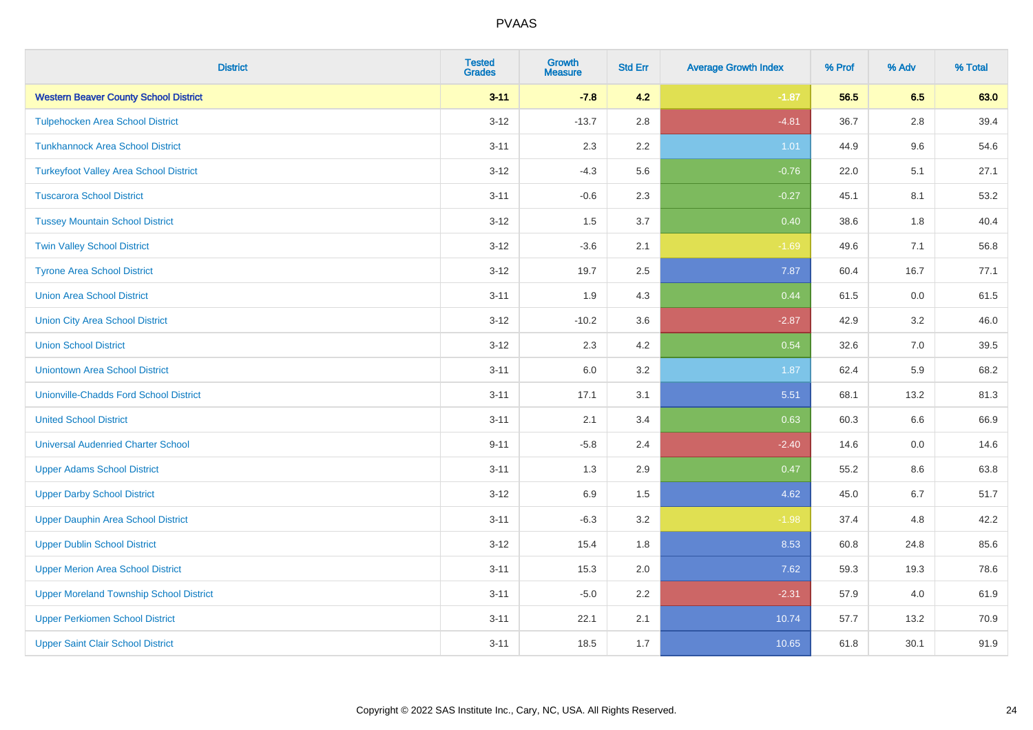| <b>District</b>                                | <b>Tested</b><br><b>Grades</b> | Growth<br><b>Measure</b> | <b>Std Err</b> | <b>Average Growth Index</b> | % Prof | % Adv   | % Total |
|------------------------------------------------|--------------------------------|--------------------------|----------------|-----------------------------|--------|---------|---------|
| <b>Western Beaver County School District</b>   | $3 - 11$                       | $-7.8$                   | 4.2            | $-1.87$                     | 56.5   | 6.5     | 63.0    |
| <b>Tulpehocken Area School District</b>        | $3 - 12$                       | $-13.7$                  | 2.8            | $-4.81$                     | 36.7   | 2.8     | 39.4    |
| <b>Tunkhannock Area School District</b>        | $3 - 11$                       | 2.3                      | $2.2\,$        | 1.01                        | 44.9   | 9.6     | 54.6    |
| <b>Turkeyfoot Valley Area School District</b>  | $3 - 12$                       | $-4.3$                   | 5.6            | $-0.76$                     | 22.0   | 5.1     | 27.1    |
| <b>Tuscarora School District</b>               | $3 - 11$                       | $-0.6$                   | 2.3            | $-0.27$                     | 45.1   | 8.1     | 53.2    |
| <b>Tussey Mountain School District</b>         | $3 - 12$                       | 1.5                      | 3.7            | 0.40                        | 38.6   | 1.8     | 40.4    |
| <b>Twin Valley School District</b>             | $3 - 12$                       | $-3.6$                   | 2.1            | $-1.69$                     | 49.6   | 7.1     | 56.8    |
| <b>Tyrone Area School District</b>             | $3 - 12$                       | 19.7                     | 2.5            | 7.87                        | 60.4   | 16.7    | 77.1    |
| <b>Union Area School District</b>              | $3 - 11$                       | 1.9                      | 4.3            | 0.44                        | 61.5   | 0.0     | 61.5    |
| <b>Union City Area School District</b>         | $3 - 12$                       | $-10.2$                  | 3.6            | $-2.87$                     | 42.9   | 3.2     | 46.0    |
| <b>Union School District</b>                   | $3 - 12$                       | 2.3                      | 4.2            | 0.54                        | 32.6   | 7.0     | 39.5    |
| <b>Uniontown Area School District</b>          | $3 - 11$                       | 6.0                      | 3.2            | 1.87                        | 62.4   | 5.9     | 68.2    |
| <b>Unionville-Chadds Ford School District</b>  | $3 - 11$                       | 17.1                     | 3.1            | 5.51                        | 68.1   | 13.2    | 81.3    |
| <b>United School District</b>                  | $3 - 11$                       | 2.1                      | 3.4            | 0.63                        | 60.3   | 6.6     | 66.9    |
| <b>Universal Audenried Charter School</b>      | $9 - 11$                       | $-5.8$                   | 2.4            | $-2.40$                     | 14.6   | 0.0     | 14.6    |
| <b>Upper Adams School District</b>             | $3 - 11$                       | 1.3                      | 2.9            | 0.47                        | 55.2   | $8.6\,$ | 63.8    |
| <b>Upper Darby School District</b>             | $3 - 12$                       | 6.9                      | 1.5            | 4.62                        | 45.0   | 6.7     | 51.7    |
| <b>Upper Dauphin Area School District</b>      | $3 - 11$                       | $-6.3$                   | 3.2            | $-1.98$                     | 37.4   | 4.8     | 42.2    |
| <b>Upper Dublin School District</b>            | $3 - 12$                       | 15.4                     | 1.8            | 8.53                        | 60.8   | 24.8    | 85.6    |
| <b>Upper Merion Area School District</b>       | $3 - 11$                       | 15.3                     | 2.0            | 7.62                        | 59.3   | 19.3    | 78.6    |
| <b>Upper Moreland Township School District</b> | $3 - 11$                       | $-5.0$                   | 2.2            | $-2.31$                     | 57.9   | 4.0     | 61.9    |
| <b>Upper Perkiomen School District</b>         | $3 - 11$                       | 22.1                     | 2.1            | 10.74                       | 57.7   | 13.2    | 70.9    |
| <b>Upper Saint Clair School District</b>       | $3 - 11$                       | 18.5                     | 1.7            | 10.65                       | 61.8   | 30.1    | 91.9    |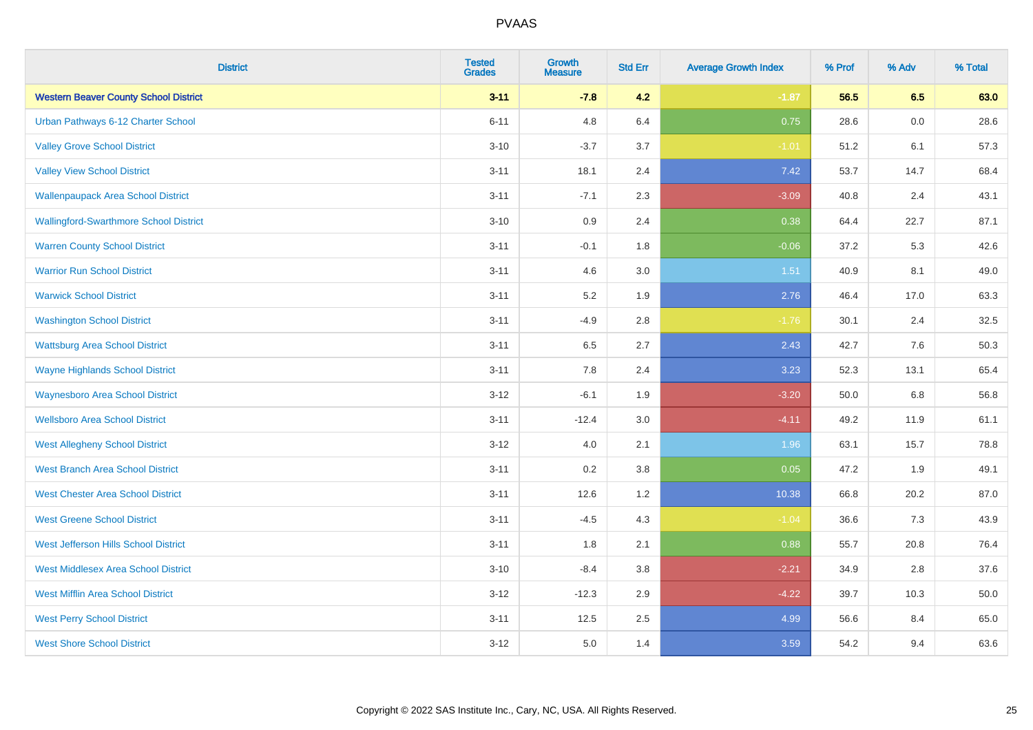| <b>District</b>                               | <b>Tested</b><br><b>Grades</b> | Growth<br><b>Measure</b> | <b>Std Err</b> | <b>Average Growth Index</b> | % Prof | % Adv   | % Total |
|-----------------------------------------------|--------------------------------|--------------------------|----------------|-----------------------------|--------|---------|---------|
| <b>Western Beaver County School District</b>  | $3 - 11$                       | $-7.8$                   | 4.2            | $-1.87$                     | 56.5   | 6.5     | 63.0    |
| Urban Pathways 6-12 Charter School            | $6 - 11$                       | 4.8                      | 6.4            | 0.75                        | 28.6   | 0.0     | 28.6    |
| <b>Valley Grove School District</b>           | $3 - 10$                       | $-3.7$                   | 3.7            | $-1.01$                     | 51.2   | 6.1     | 57.3    |
| <b>Valley View School District</b>            | $3 - 11$                       | 18.1                     | 2.4            | 7.42                        | 53.7   | 14.7    | 68.4    |
| <b>Wallenpaupack Area School District</b>     | $3 - 11$                       | $-7.1$                   | 2.3            | $-3.09$                     | 40.8   | 2.4     | 43.1    |
| <b>Wallingford-Swarthmore School District</b> | $3 - 10$                       | 0.9                      | 2.4            | 0.38                        | 64.4   | 22.7    | 87.1    |
| <b>Warren County School District</b>          | $3 - 11$                       | $-0.1$                   | 1.8            | $-0.06$                     | 37.2   | 5.3     | 42.6    |
| <b>Warrior Run School District</b>            | $3 - 11$                       | 4.6                      | 3.0            | 1.51                        | 40.9   | 8.1     | 49.0    |
| <b>Warwick School District</b>                | $3 - 11$                       | 5.2                      | 1.9            | 2.76                        | 46.4   | 17.0    | 63.3    |
| <b>Washington School District</b>             | $3 - 11$                       | $-4.9$                   | 2.8            | $-1.76$                     | 30.1   | 2.4     | 32.5    |
| <b>Wattsburg Area School District</b>         | $3 - 11$                       | 6.5                      | 2.7            | 2.43                        | 42.7   | 7.6     | 50.3    |
| <b>Wayne Highlands School District</b>        | $3 - 11$                       | 7.8                      | 2.4            | 3.23                        | 52.3   | 13.1    | 65.4    |
| <b>Waynesboro Area School District</b>        | $3 - 12$                       | $-6.1$                   | 1.9            | $-3.20$                     | 50.0   | $6.8\,$ | 56.8    |
| <b>Wellsboro Area School District</b>         | $3 - 11$                       | $-12.4$                  | 3.0            | $-4.11$                     | 49.2   | 11.9    | 61.1    |
| <b>West Allegheny School District</b>         | $3 - 12$                       | 4.0                      | 2.1            | 1.96                        | 63.1   | 15.7    | 78.8    |
| <b>West Branch Area School District</b>       | $3 - 11$                       | 0.2                      | 3.8            | 0.05                        | 47.2   | 1.9     | 49.1    |
| <b>West Chester Area School District</b>      | $3 - 11$                       | 12.6                     | 1.2            | 10.38                       | 66.8   | 20.2    | 87.0    |
| <b>West Greene School District</b>            | $3 - 11$                       | $-4.5$                   | 4.3            | $-1.04$                     | 36.6   | 7.3     | 43.9    |
| West Jefferson Hills School District          | $3 - 11$                       | 1.8                      | 2.1            | 0.88                        | 55.7   | 20.8    | 76.4    |
| <b>West Middlesex Area School District</b>    | $3 - 10$                       | $-8.4$                   | 3.8            | $-2.21$                     | 34.9   | 2.8     | 37.6    |
| <b>West Mifflin Area School District</b>      | $3 - 12$                       | $-12.3$                  | 2.9            | $-4.22$                     | 39.7   | 10.3    | 50.0    |
| <b>West Perry School District</b>             | $3 - 11$                       | 12.5                     | 2.5            | 4.99                        | 56.6   | 8.4     | 65.0    |
| <b>West Shore School District</b>             | $3 - 12$                       | 5.0                      | 1.4            | 3.59                        | 54.2   | 9.4     | 63.6    |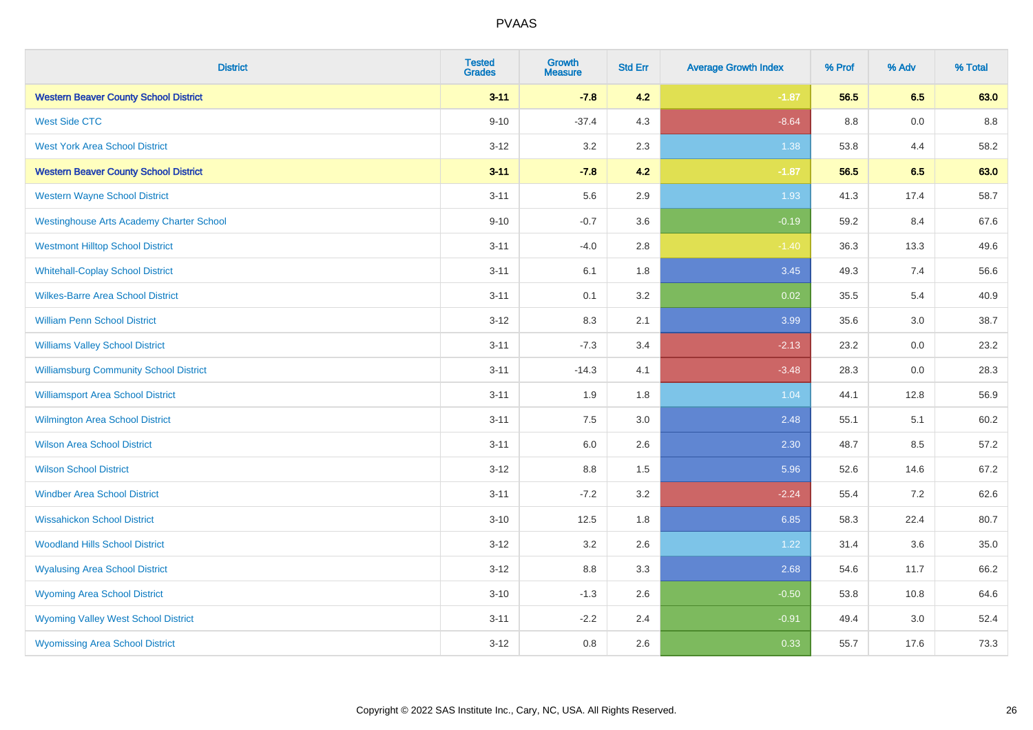| <b>District</b>                                 | <b>Tested</b><br><b>Grades</b> | <b>Growth</b><br><b>Measure</b> | <b>Std Err</b> | <b>Average Growth Index</b> | % Prof  | % Adv | % Total |
|-------------------------------------------------|--------------------------------|---------------------------------|----------------|-----------------------------|---------|-------|---------|
| <b>Western Beaver County School District</b>    | $3 - 11$                       | $-7.8$                          | 4.2            | $-1.87$                     | 56.5    | 6.5   | 63.0    |
| <b>West Side CTC</b>                            | $9 - 10$                       | $-37.4$                         | 4.3            | $-8.64$                     | $8.8\,$ | 0.0   | 8.8     |
| <b>West York Area School District</b>           | $3-12$                         | $3.2\,$                         | 2.3            | 1.38                        | 53.8    | 4.4   | 58.2    |
| <b>Western Beaver County School District</b>    | $3 - 11$                       | $-7.8$                          | 4.2            | $-1.87$                     | 56.5    | 6.5   | 63.0    |
| <b>Western Wayne School District</b>            | $3 - 11$                       | 5.6                             | 2.9            | 1.93                        | 41.3    | 17.4  | 58.7    |
| <b>Westinghouse Arts Academy Charter School</b> | $9 - 10$                       | $-0.7$                          | 3.6            | $-0.19$                     | 59.2    | 8.4   | 67.6    |
| <b>Westmont Hilltop School District</b>         | $3 - 11$                       | $-4.0$                          | 2.8            | $-1.40$                     | 36.3    | 13.3  | 49.6    |
| <b>Whitehall-Coplay School District</b>         | $3 - 11$                       | 6.1                             | 1.8            | 3.45                        | 49.3    | 7.4   | 56.6    |
| <b>Wilkes-Barre Area School District</b>        | $3 - 11$                       | 0.1                             | 3.2            | 0.02                        | 35.5    | 5.4   | 40.9    |
| <b>William Penn School District</b>             | $3-12$                         | 8.3                             | 2.1            | 3.99                        | 35.6    | 3.0   | 38.7    |
| <b>Williams Valley School District</b>          | $3 - 11$                       | $-7.3$                          | 3.4            | $-2.13$                     | 23.2    | 0.0   | 23.2    |
| <b>Williamsburg Community School District</b>   | $3 - 11$                       | $-14.3$                         | 4.1            | $-3.48$                     | 28.3    | 0.0   | 28.3    |
| <b>Williamsport Area School District</b>        | $3 - 11$                       | 1.9                             | 1.8            | 1.04                        | 44.1    | 12.8  | 56.9    |
| <b>Wilmington Area School District</b>          | $3 - 11$                       | 7.5                             | 3.0            | 2.48                        | 55.1    | 5.1   | 60.2    |
| <b>Wilson Area School District</b>              | $3 - 11$                       | 6.0                             | 2.6            | 2.30                        | 48.7    | 8.5   | 57.2    |
| <b>Wilson School District</b>                   | $3 - 12$                       | 8.8                             | 1.5            | 5.96                        | 52.6    | 14.6  | 67.2    |
| <b>Windber Area School District</b>             | $3 - 11$                       | $-7.2$                          | 3.2            | $-2.24$                     | 55.4    | 7.2   | 62.6    |
| <b>Wissahickon School District</b>              | $3 - 10$                       | 12.5                            | 1.8            | 6.85                        | 58.3    | 22.4  | 80.7    |
| <b>Woodland Hills School District</b>           | $3 - 12$                       | 3.2                             | 2.6            | 1.22                        | 31.4    | 3.6   | 35.0    |
| <b>Wyalusing Area School District</b>           | $3 - 12$                       | 8.8                             | 3.3            | 2.68                        | 54.6    | 11.7  | 66.2    |
| <b>Wyoming Area School District</b>             | $3 - 10$                       | $-1.3$                          | 2.6            | $-0.50$                     | 53.8    | 10.8  | 64.6    |
| <b>Wyoming Valley West School District</b>      | $3 - 11$                       | $-2.2$                          | 2.4            | $-0.91$                     | 49.4    | 3.0   | 52.4    |
| <b>Wyomissing Area School District</b>          | $3 - 12$                       | 0.8                             | 2.6            | 0.33                        | 55.7    | 17.6  | 73.3    |